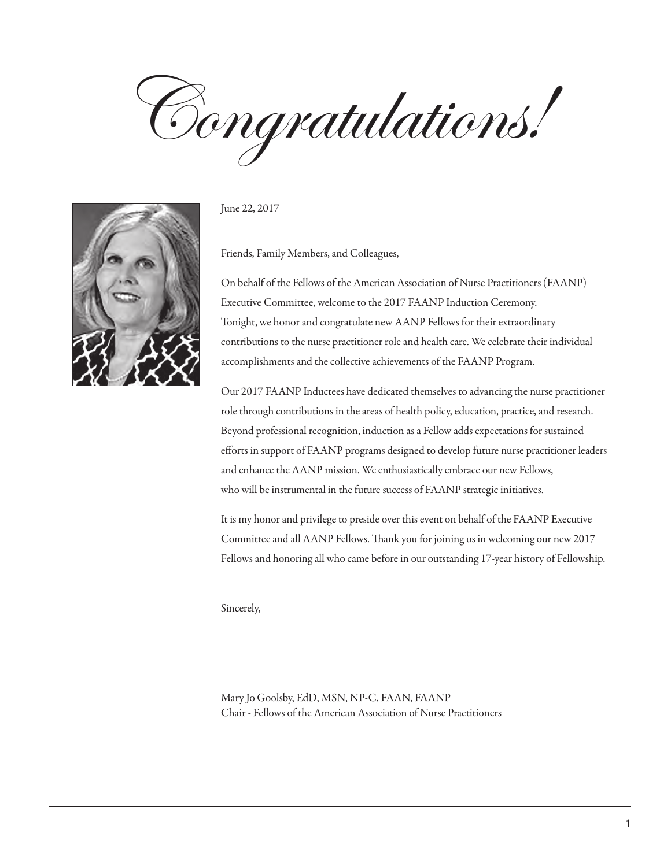Congratulations!



June 22, 2017

Friends, Family Members, and Colleagues,

On behalf of the Fellows of the American Association of Nurse Practitioners (FAANP) Executive Committee, welcome to the 2017 FAANP Induction Ceremony. Tonight, we honor and congratulate new AANP Fellows for their extraordinary contributions to the nurse practitioner role and health care. We celebrate their individual accomplishments and the collective achievements of the FAANP Program.

Our 2017 FAANP Inductees have dedicated themselves to advancing the nurse practitioner role through contributions in the areas of health policy, education, practice, and research. Beyond professional recognition, induction as a Fellow adds expectations for sustained efforts in support of FAANP programs designed to develop future nurse practitioner leaders and enhance the AANP mission. We enthusiastically embrace our new Fellows, who will be instrumental in the future success of FAANP strategic initiatives.

It is my honor and privilege to preside over this event on behalf of the FAANP Executive Committee and all AANP Fellows. Thank you for joining us in welcoming our new 2017 Fellows and honoring all who came before in our outstanding 17-year history of Fellowship.

Sincerely,

Mary Jo Goolsby, EdD, MSN, NP-C, FAAN, FAANP Chair - Fellows of the American Association of Nurse Practitioners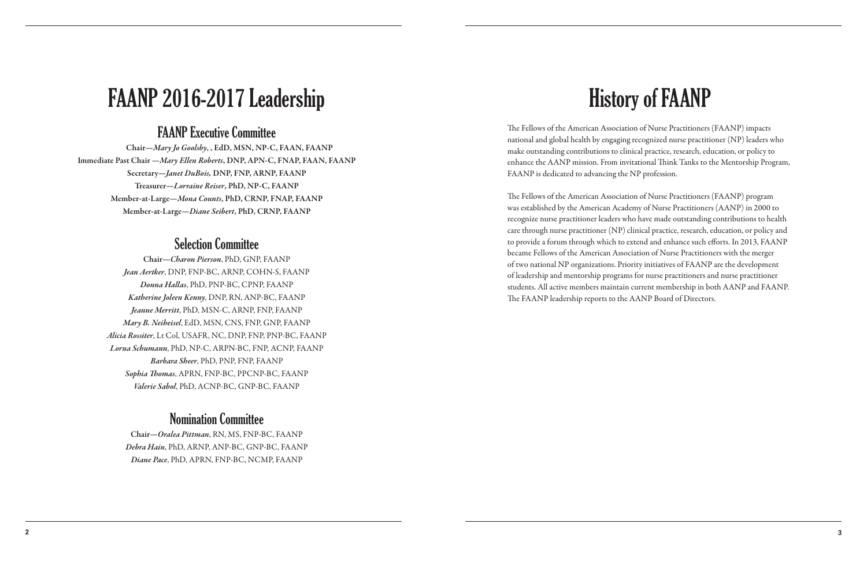# History of FAANP

The Fellows of the American Association of Nurse Practitioners (FAANP) impacts national and global health by engaging recognized nurse practitioner (NP) leaders who make outstanding contributions to clinical practice, research, education, or policy to enhance the AANP mission. From invitational Think Tanks to the Mentorship Program, FAANP is dedicated to advancing the NP profession.

The Fellows of the American Association of Nurse Practitioners (FAANP) program was established by the American Academy of Nurse Practitioners (AANP) in 2000 to recognize nurse practitioner leaders who have made outstanding contributions to health care through nurse practitioner (NP) clinical practice, research, education, or policy and to provide a forum through which to extend and enhance such efforts. In 2013, FAANP became Fellows of the American Association of Nurse Practitioners with the merger of two national NP organizations. Priority initiatives of FAANP are the development of leadership and mentorship programs for nurse practitioners and nurse practitioner students. All active members maintain current membership in both AANP and FAANP. The FAANP leadership reports to the AANP Board of Directors.

# FAANP 2016-2017 Leadership

## FAANP Executive Committee

Chair—*Mary Jo Goolsby*, , EdD, MSN, NP-C, FAAN, FAANP Immediate Past Chair —*Mary Ellen Roberts*, DNP, APN-C, FNAP, FAAN, FAANP Secretary—*Janet DuBois,* DNP, FNP, ARNP, FAANP Treasurer—*Lorraine Reiser*, PhD, NP-C, FAANP Member-at-Large—*Mona Counts*, PhD, CRNP, FNAP, FAANP Member-at-Large—*Diane Seibert*, PhD, CRNP, FAANP

## Selection Committee

Chair—*Charon Pierson*, PhD, GNP, FAANP *Jean Aertker*, DNP, FNP-BC, ARNP, COHN-S, FAANP *Donna Hallas*, PhD, PNP-BC, CPNP, FAANP *Katherine Joleen Kenny*, DNP, RN, ANP-BC, FAANP *Jeanne Merritt*, PhD, MSN-C, ARNP, FNP, FAANP *Mary B. Neiheisel*, EdD, MSN, CNS, FNP, GNP, FAANP *Alicia Rossiter*, Lt Col, USAFR, NC, DNP, FNP, PNP-BC, FAANP *Lorna Schumann*, PhD, NP-C, ARPN-BC, FNP, ACNP, FAANP *Barbara Sheer*, PhD, PNP, FNP, FAANP *Sophia Thomas*, APRN, FNP-BC, PPCNP-BC, FAANP *Valerie Sabol*, PhD, ACNP-BC, GNP-BC, FAANP

## Nomination Committee

Chair—*Oralea Pittman*, RN, MS, FNP-BC, FAANP *Debra Hain*, PhD, ARNP, ANP-BC, GNP-BC, FAANP *Diane Pace*, PhD, APRN, FNP-BC, NCMP, FAANP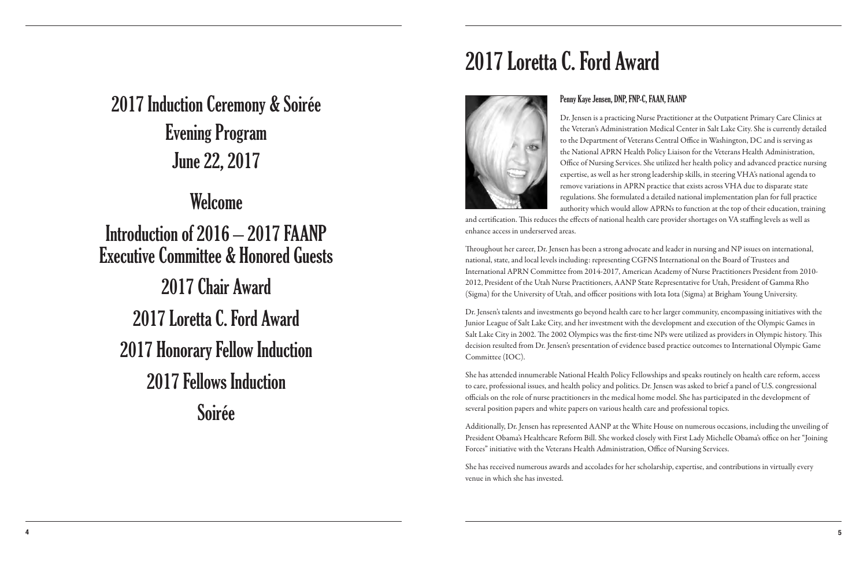# 2017 Induction Ceremony & Soirée Evening Program June 22, 2017

## Welcome

Introduction of 2016 – 2017 FAANP Executive Committee & Honored Guests 2017 Chair Award 2017 Loretta C. Ford Award 2017 Honorary Fellow Induction 2017 Fellows Induction Soirée

# 2017 Loretta C. Ford Award

## Penny Kaye Jensen, DNP, FNP-C, FAAN, FAANP

Dr. Jensen is a practicing Nurse Practitioner at the Outpatient Primary Care Clinics at the Veteran's Administration Medical Center in Salt Lake City. She is currently detailed to the Department of Veterans Central Office in Washington, DC and is serving as the National APRN Health Policy Liaison for the Veterans Health Administration, Office of Nursing Services. She utilized her health policy and advanced practice nursing expertise, as well as her strong leadership skills, in steering VHA's national agenda to remove variations in APRN practice that exists across VHA due to disparate state regulations. She formulated a detailed national implementation plan for full practice authority which would allow APRNs to function at the top of their education, training and certification. This reduces the effects of national health care provider shortages on VA staffing levels as well as

enhance access in underserved areas.

Throughout her career, Dr. Jensen has been a strong advocate and leader in nursing and NP issues on international, national, state, and local levels including: representing CGFNS International on the Board of Trustees and International APRN Committee from 2014-2017, American Academy of Nurse Practitioners President from 2010- 2012, President of the Utah Nurse Practitioners, AANP State Representative for Utah, President of Gamma Rho (Sigma) for the University of Utah, and officer positions with Iota Iota (Sigma) at Brigham Young University.

Dr. Jensen's talents and investments go beyond health care to her larger community, encompassing initiatives with the Junior League of Salt Lake City, and her investment with the development and execution of the Olympic Games in Salt Lake City in 2002. The 2002 Olympics was the first-time NPs were utilized as providers in Olympic history. This decision resulted from Dr. Jensen's presentation of evidence based practice outcomes to International Olympic Game Committee (IOC).

She has attended innumerable National Health Policy Fellowships and speaks routinely on health care reform, access to care, professional issues, and health policy and politics. Dr. Jensen was asked to brief a panel of U.S. congressional officials on the role of nurse practitioners in the medical home model. She has participated in the development of several position papers and white papers on various health care and professional topics.

Additionally, Dr. Jensen has represented AANP at the White House on numerous occasions, including the unveiling of President Obama's Healthcare Reform Bill. She worked closely with First Lady Michelle Obama's office on her "Joining Forces" initiative with the Veterans Health Administration, Office of Nursing Services.

She has received numerous awards and accolades for her scholarship, expertise, and contributions in virtually every venue in which she has invested.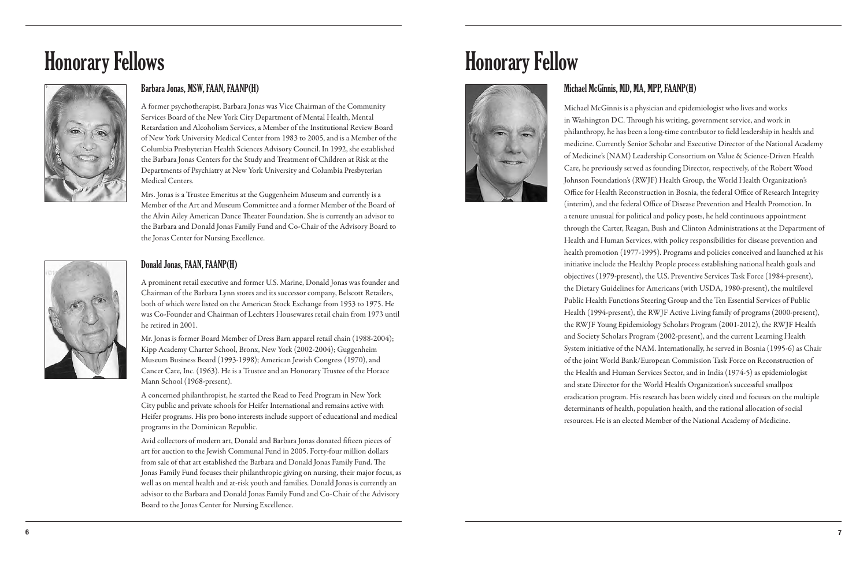## Barbara Jonas, MSW, FAAN, FAANP(H)

A former psychotherapist, Barbara Jonas was Vice Chairman of the Community Services Board of the New York City Department of Mental Health, Mental Retardation and Alcoholism Services, a Member of the Institutional Review Board of New York University Medical Center from 1983 to 2005, and is a Member of the Columbia Presbyterian Health Sciences Advisory Council. In 1992, she established the Barbara Jonas Centers for the Study and Treatment of Children at Risk at the Departments of Psychiatry at New York University and Columbia Presbyterian Medical Centers.

Mrs. Jonas is a Trustee Emeritus at the Guggenheim Museum and currently is a Member of the Art and Museum Committee and a former Member of the Board of the Alvin Ailey American Dance Theater Foundation. She is currently an advisor to the Barbara and Donald Jonas Family Fund and Co-Chair of the Advisory Board to the Jonas Center for Nursing Excellence.



# Honorary Fellows



## Michael McGinnis, MD, MA, MPP, FAANP(H)

Michael McGinnis is a physician and epidemiologist who lives and works in Washington DC. Through his writing, government service, and work in philanthropy, he has been a long-time contributor to field leadership in health and medicine. Currently Senior Scholar and Executive Director of the National Academy of Medicine's (NAM) Leadership Consortium on Value & Science-Driven Health Care, he previously served as founding Director, respectively, of the Robert Wood Johnson Foundation's (RWJF) Health Group, the World Health Organization's Office for Health Reconstruction in Bosnia, the federal Office of Research Integrity (interim), and the federal Office of Disease Prevention and Health Promotion. In a tenure unusual for political and policy posts, he held continuous appointment through the Carter, Reagan, Bush and Clinton Administrations at the Department of Health and Human Services, with policy responsibilities for disease prevention and health promotion (1977-1995). Programs and policies conceived and launched at his initiative include the Healthy People process establishing national health goals and objectives (1979-present), the U.S. Preventive Services Task Force (1984-present), the Dietary Guidelines for Americans (with USDA, 1980-present), the multilevel Public Health Functions Steering Group and the Ten Essential Services of Public Health (1994-present), the RWJF Active Living family of programs (2000-present), the RWJF Young Epidemiology Scholars Program (2001-2012), the RWJF Health and Society Scholars Program (2002-present), and the current Learning Health System initiative of the NAM. Internationally, he served in Bosnia (1995-6) as Chair of the joint World Bank/European Commission Task Force on Reconstruction of the Health and Human Services Sector, and in India (1974-5) as epidemiologist and state Director for the World Health Organization's successful smallpox eradication program. His research has been widely cited and focuses on the multiple determinants of health, population health, and the rational allocation of social resources. He is an elected Member of the National Academy of Medicine.

# Honorary Fellow



## Donald Jonas, FAAN, FAANP(H)

A prominent retail executive and former U.S. Marine, Donald Jonas was founder and Chairman of the Barbara Lynn stores and its successor company, Belscott Retailers, both of which were listed on the American Stock Exchange from 1953 to 1975. He was Co-Founder and Chairman of Lechters Housewares retail chain from 1973 until he retired in 2001.

Mr. Jonas is former Board Member of Dress Barn apparel retail chain (1988-2004); Kipp Academy Charter School, Bronx, New York (2002-2004); Guggenheim Museum Business Board (1993-1998); American Jewish Congress (1970), and Cancer Care, Inc. (1963). He is a Trustee and an Honorary Trustee of the Horace Mann School (1968-present).

A concerned philanthropist, he started the Read to Feed Program in New York City public and private schools for Heifer International and remains active with Heifer programs. His pro bono interests include support of educational and medical programs in the Dominican Republic.

Avid collectors of modern art, Donald and Barbara Jonas donated fifteen pieces of art for auction to the Jewish Communal Fund in 2005. Forty-four million dollars from sale of that art established the Barbara and Donald Jonas Family Fund. The Jonas Family Fund focuses their philanthropic giving on nursing, their major focus, as well as on mental health and at-risk youth and families. Donald Jonas is currently an advisor to the Barbara and Donald Jonas Family Fund and Co-Chair of the Advisory Board to the Jonas Center for Nursing Excellence.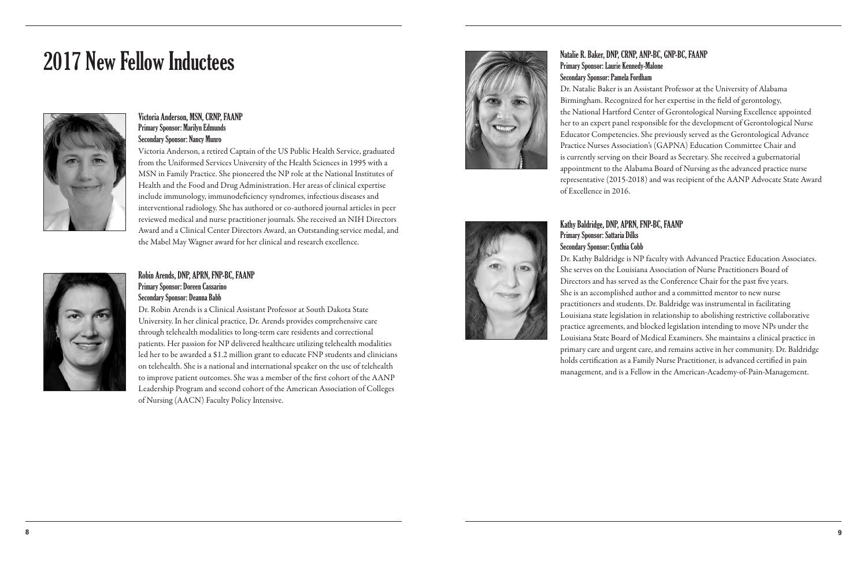## Natalie R. Baker, DNP, CRNP, ANP-BC, GNP-BC, FAANP Primary Sponsor: Laurie Kennedy-Malone

## Secondary Sponsor: Pamela Fordham

Dr. Natalie Baker is an Assistant Professor at the University of Alabama Birmingham. Recognized for her expertise in the field of gerontology, the National Hartford Center of Gerontological Nursing Excellence appointed her to an expert panel responsible for the development of Gerontological Nurse Educator Competencies. She previously served as the Gerontological Advance Practice Nurses Association's (GAPNA) Education Committee Chair and is currently serving on their Board as Secretary. She received a gubernatorial appointment to the Alabama Board of Nursing as the advanced practice nurse representative (2015-2018) and was recipient of the AANP Advocate State Award



of Excellence in 2016.

Kathy Baldridge, DNP, APRN, FNP-BC, FAANP Primary Sponsor: Sattaria Dilks Secondary Sponsor: Cynthia Cobb Dr. Kathy Baldridge is NP faculty with Advanced Practice Education Associates. She serves on the Louisiana Association of Nurse Practitioners Board of Directors and has served as the Conference Chair for the past five years. She is an accomplished author and a committed mentor to new nurse practitioners and students. Dr. Baldridge was instrumental in facilitating Louisiana state legislation in relationship to abolishing restrictive collaborative practice agreements, and blocked legislation intending to move NPs under the Louisiana State Board of Medical Examiners. She maintains a clinical practice in primary care and urgent care, and remains active in her community. Dr. Baldridge holds certification as a Family Nurse Practitioner, is advanced certified in pain management, and is a Fellow in the American-Academy-of-Pain-Management.

## Victoria Anderson, MSN, CRNP, FAANP Primary Sponsor: Marilyn Edmunds Secondary Sponsor: Nancy Munro

Victoria Anderson, a retired Captain of the US Public Health Service, graduated from the Uniformed Services University of the Health Sciences in 1995 with a MSN in Family Practice. She pioneered the NP role at the National Institutes of Health and the Food and Drug Administration. Her areas of clinical expertise include immunology, immunodeficiency syndromes, infectious diseases and interventional radiology. She has authored or co-authored journal articles in peer reviewed medical and nurse practitioner journals. She received an NIH Directors Award and a Clinical Center Directors Award, an Outstanding service medal, and the Mabel May Wagner award for her clinical and research excellence.

## Robin Arends, DNP, APRN, FNP-BC, FAANP Primary Sponsor: Doreen Cassarino

## Secondary Sponsor: Deanna Babb

Dr. Robin Arends is a Clinical Assistant Professor at South Dakota State University. In her clinical practice, Dr. Arends provides comprehensive care through telehealth modalities to long-term care residents and correctional patients. Her passion for NP delivered healthcare utilizing telehealth modalities led her to be awarded a \$1.2 million grant to educate FNP students and clinicians on telehealth. She is a national and international speaker on the use of telehealth to improve patient outcomes. She was a member of the first cohort of the AANP Leadership Program and second cohort of the American Association of Colleges of Nursing (AACN) Faculty Policy Intensive.



# 2017 New Fellow Inductees

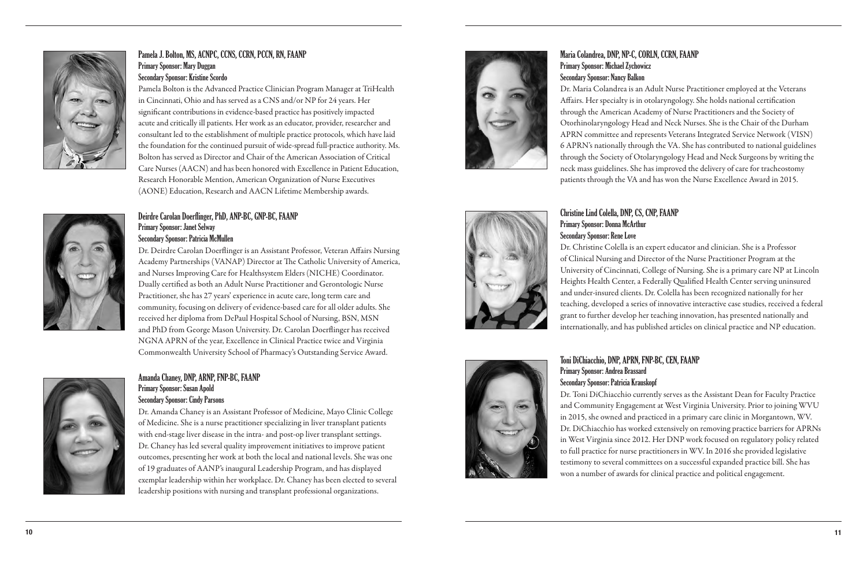## Maria Colandrea, DNP, NP-C, CORLN, CCRN, FAANP Primary Sponsor: Michael Zychowicz Secondary Sponsor: Nancy Balkon

Dr. Maria Colandrea is an Adult Nurse Practitioner employed at the Veterans Affairs. Her specialty is in otolaryngology. She holds national certification through the American Academy of Nurse Practitioners and the Society of Otorhinolaryngology Head and Neck Nurses. She is the Chair of the Durham APRN committee and represents Veterans Integrated Service Network (VISN) 6 APRN's nationally through the VA. She has contributed to national guidelines through the Society of Otolaryngology Head and Neck Surgeons by writing the neck mass guidelines. She has improved the delivery of care for tracheostomy patients through the VA and has won the Nurse Excellence Award in 2015.



# Christine Lind Colella, DNP, CS, CNP, FAANP

Primary Sponsor: Donna McArthur Secondary Sponsor: Rene Love Dr. Christine Colella is an expert educator and clinician. She is a Professor of Clinical Nursing and Director of the Nurse Practitioner Program at the University of Cincinnati, College of Nursing. She is a primary care NP at Lincoln Heights Health Center, a Federally Qualified Health Center serving uninsured and under-insured clients. Dr. Colella has been recognized nationally for her teaching, developed a series of innovative interactive case studies, received a federal grant to further develop her teaching innovation, has presented nationally and internationally, and has published articles on clinical practice and NP education.

## Toni DiChiacchio, DNP, APRN, FNP-BC, CEN, FAANP

Primary Sponsor: Andrea Brassard Secondary Sponsor: Patricia Krauskopf Dr. Toni DiChiacchio currently serves as the Assistant Dean for Faculty Practice and Community Engagement at West Virginia University. Prior to joining WVU in 2015, she owned and practiced in a primary care clinic in Morgantown, WV. Dr. DiChiacchio has worked extensively on removing practice barriers for APRNs in West Virginia since 2012. Her DNP work focused on regulatory policy related to full practice for nurse practitioners in WV. In 2016 she provided legislative testimony to several committees on a successful expanded practice bill. She has won a number of awards for clinical practice and political engagement.



## Pamela J. Bolton, MS, ACNPC, CCNS, CCRN, PCCN, RN, FAANP Primary Sponsor: Mary Duggan Secondary Sponsor: Kristine Scordo

Pamela Bolton is the Advanced Practice Clinician Program Manager at TriHealth in Cincinnati, Ohio and has served as a CNS and/or NP for 24 years. Her significant contributions in evidence-based practice has positively impacted acute and critically ill patients. Her work as an educator, provider, researcher and consultant led to the establishment of multiple practice protocols, which have laid the foundation for the continued pursuit of wide-spread full-practice authority. Ms. Bolton has served as Director and Chair of the American Association of Critical Care Nurses (AACN) and has been honored with Excellence in Patient Education, Research Honorable Mention, American Organization of Nurse Executives (AONE) Education, Research and AACN Lifetime Membership awards.



## Deirdre Carolan Doerflinger, PhD, ANP-BC, GNP-BC, FAANP Primary Sponsor: Janet Selway Secondary Sponsor: Patricia McMullen

Dr. Deirdre Carolan Doerflinger is an Assistant Professor, Veteran Affairs Nursing Academy Partnerships (VANAP) Director at The Catholic University of America, and Nurses Improving Care for Healthsystem Elders (NICHE) Coordinator. Dually certified as both an Adult Nurse Practitioner and Gerontologic Nurse Practitioner, she has 27 years' experience in acute care, long term care and community, focusing on delivery of evidence-based care for all older adults. She received her diploma from DePaul Hospital School of Nursing, BSN, MSN and PhD from George Mason University. Dr. Carolan Doerflinger has received NGNA APRN of the year, Excellence in Clinical Practice twice and Virginia Commonwealth University School of Pharmacy's Outstanding Service Award.



## Amanda Chaney, DNP, ARNP, FNP-BC, FAANP Primary Sponsor: Susan Apold Secondary Sponsor: Cindy Parsons

Dr. Amanda Chaney is an Assistant Professor of Medicine, Mayo Clinic College of Medicine. She is a nurse practitioner specializing in liver transplant patients with end-stage liver disease in the intra- and post-op liver transplant settings. Dr. Chaney has led several quality improvement initiatives to improve patient outcomes, presenting her work at both the local and national levels. She was one of 19 graduates of AANP's inaugural Leadership Program, and has displayed exemplar leadership within her workplace. Dr. Chaney has been elected to several leadership positions with nursing and transplant professional organizations.

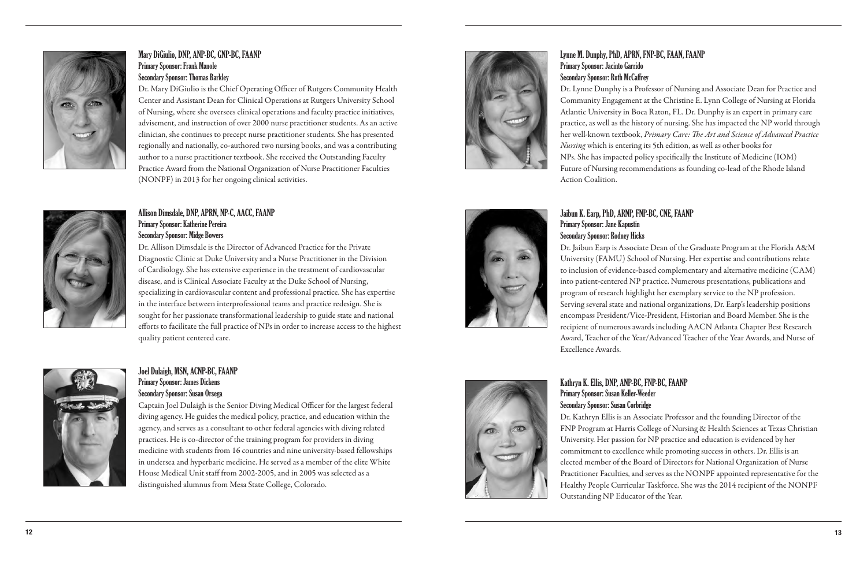## Lynne M. Dunphy, PhD, APRN, FNP-BC, FAAN, FAANP Primary Sponsor: Jacinto Garrido Secondary Sponsor: Ruth McCaffrey

Dr. Lynne Dunphy is a Professor of Nursing and Associate Dean for Practice and Community Engagement at the Christine E. Lynn College of Nursing at Florida Atlantic University in Boca Raton, FL. Dr. Dunphy is an expert in primary care practice, as well as the history of nursing. She has impacted the NP world through her well-known textbook, *Primary Care: The Art and Science of Advanced Practice Nursing* which is entering its 5th edition, as well as other books for NPs. She has impacted policy specifically the Institute of Medicine (IOM) Future of Nursing recommendations as founding co-lead of the Rhode Island Action Coalition.

## Jaibun K. Earp, PhD, ARNP, FNP-BC, CNE, FAANP

Primary Sponsor: Jane Kapustin Secondary Sponsor: Rodney Hicks Dr. Jaibun Earp is Associate Dean of the Graduate Program at the Florida A&M University (FAMU) School of Nursing. Her expertise and contributions relate to inclusion of evidence-based complementary and alternative medicine (CAM) into patient-centered NP practice. Numerous presentations, publications and program of research highlight her exemplary service to the NP profession. Serving several state and national organizations, Dr. Earp's leadership positions encompass President/Vice-President, Historian and Board Member. She is the recipient of numerous awards including AACN Atlanta Chapter Best Research Award, Teacher of the Year/Advanced Teacher of the Year Awards, and Nurse of Excellence Awards.



## Kathryn K. Ellis, DNP, ANP-BC, FNP-BC, FAANP

Primary Sponsor: Susan Keller-Weeder Secondary Sponsor: Susan Corbridge

Dr. Kathryn Ellis is an Associate Professor and the founding Director of the FNP Program at Harris College of Nursing & Health Sciences at Texas Christian University. Her passion for NP practice and education is evidenced by her commitment to excellence while promoting success in others. Dr. Ellis is an elected member of the Board of Directors for National Organization of Nurse Practitioner Faculties, and serves as the NONPF appointed representative for the Healthy People Curricular Taskforce. She was the 2014 recipient of the NONPF Outstanding NP Educator of the Year.



## Mary DiGiulio, DNP, ANP-BC, GNP-BC, FAANP Primary Sponsor: Frank Manole Secondary Sponsor: Thomas Barkley

Dr. Mary DiGiulio is the Chief Operating Officer of Rutgers Community Health Center and Assistant Dean for Clinical Operations at Rutgers University School of Nursing, where she oversees clinical operations and faculty practice initiatives, advisement, and instruction of over 2000 nurse practitioner students. As an active clinician, she continues to precept nurse practitioner students. She has presented regionally and nationally, co-authored two nursing books, and was a contributing author to a nurse practitioner textbook. She received the Outstanding Faculty Practice Award from the National Organization of Nurse Practitioner Faculties (NONPF) in 2013 for her ongoing clinical activities.



## Allison Dimsdale, DNP, APRN, NP-C, AACC, FAANP Primary Sponsor: Katherine Pereira Secondary Sponsor: Midge Bowers

Dr. Allison Dimsdale is the Director of Advanced Practice for the Private Diagnostic Clinic at Duke University and a Nurse Practitioner in the Division of Cardiology. She has extensive experience in the treatment of cardiovascular disease, and is Clinical Associate Faculty at the Duke School of Nursing, specializing in cardiovascular content and professional practice. She has expertise in the interface between interprofessional teams and practice redesign. She is sought for her passionate transformational leadership to guide state and national efforts to facilitate the full practice of NPs in order to increase access to the highest quality patient centered care.



## Joel Dulaigh, MSN, ACNP-BC, FAANP Primary Sponsor: James Dickens

## Secondary Sponsor: Susan Orsega

Captain Joel Dulaigh is the Senior Diving Medical Officer for the largest federal diving agency. He guides the medical policy, practice, and education within the agency, and serves as a consultant to other federal agencies with diving related practices. He is co-director of the training program for providers in diving medicine with students from 16 countries and nine university-based fellowships in undersea and hyperbaric medicine. He served as a member of the elite White House Medical Unit staff from 2002-2005, and in 2005 was selected as a distinguished alumnus from Mesa State College, Colorado.

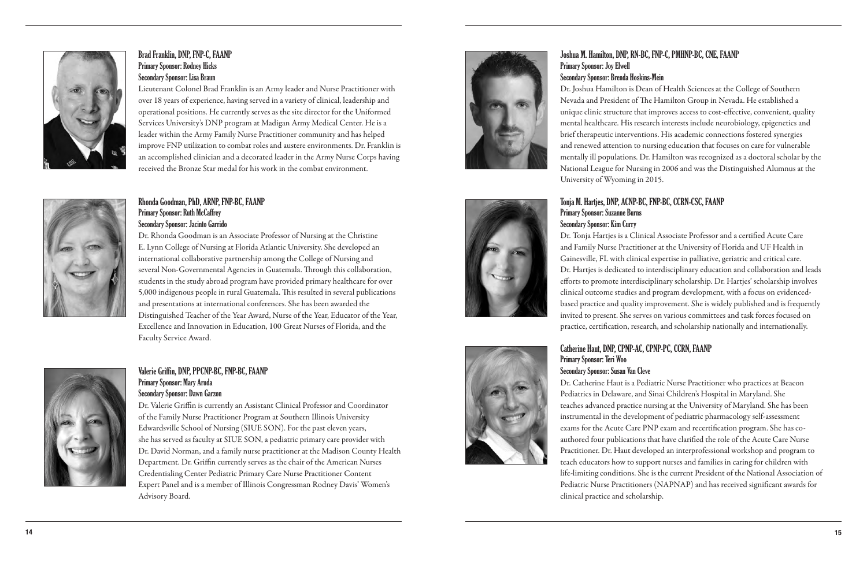## Joshua M. Hamilton, DNP, RN-BC, FNP-C, PMHNP-BC, CNE, FAANP Primary Sponsor: Joy Elwell Secondary Sponsor: Brenda Hoskins-Mein

Dr. Joshua Hamilton is Dean of Health Sciences at the College of Southern Nevada and President of The Hamilton Group in Nevada. He established a unique clinic structure that improves access to cost-effective, convenient, quality mental healthcare. His research interests include neurobiology, epigenetics and brief therapeutic interventions. His academic connections fostered synergies and renewed attention to nursing education that focuses on care for vulnerable mentally ill populations. Dr. Hamilton was recognized as a doctoral scholar by the National League for Nursing in 2006 and was the Distinguished Alumnus at the University of Wyoming in 2015.





# Tonja M. Hartjes, DNP, ACNP-BC, FNP-BC, CCRN-CSC, FAANP

Primary Sponsor: Suzanne Burns Secondary Sponsor: Kim Curry Dr. Tonja Hartjes is a Clinical Associate Professor and a certified Acute Care and Family Nurse Practitioner at the University of Florida and UF Health in Gainesville, FL with clinical expertise in palliative, geriatric and critical care. Dr. Hartjes is dedicated to interdisciplinary education and collaboration and leads efforts to promote interdisciplinary scholarship. Dr. Hartjes' scholarship involves clinical outcome studies and program development, with a focus on evidencedbased practice and quality improvement. She is widely published and is frequently invited to present. She serves on various committees and task forces focused on practice, certification, research, and scholarship nationally and internationally.

Catherine Haut, DNP, CPNP-AC, CPNP-PC, CCRN, FAANP Primary Sponsor: Teri Woo Secondary Sponsor: Susan Van Cleve Dr. Catherine Haut is a Pediatric Nurse Practitioner who practices at Beacon Pediatrics in Delaware, and Sinai Children's Hospital in Maryland. She teaches advanced practice nursing at the University of Maryland. She has been instrumental in the development of pediatric pharmacology self-assessment exams for the Acute Care PNP exam and recertification program. She has coauthored four publications that have clarified the role of the Acute Care Nurse Practitioner. Dr. Haut developed an interprofessional workshop and program to teach educators how to support nurses and families in caring for children with life-limiting conditions. She is the current President of the National Association of Pediatric Nurse Practitioners (NAPNAP) and has received significant awards for clinical practice and scholarship.



## Brad Franklin, DNP, FNP-C, FAANP Primary Sponsor: Rodney Hicks Secondary Sponsor: Lisa Braun

Lieutenant Colonel Brad Franklin is an Army leader and Nurse Practitioner with over 18 years of experience, having served in a variety of clinical, leadership and operational positions. He currently serves as the site director for the Uniformed Services University's DNP program at Madigan Army Medical Center. He is a leader within the Army Family Nurse Practitioner community and has helped improve FNP utilization to combat roles and austere environments. Dr. Franklin is an accomplished clinician and a decorated leader in the Army Nurse Corps having received the Bronze Star medal for his work in the combat environment.



## Rhonda Goodman, PhD, ARNP, FNP-BC, FAANP Primary Sponsor: Ruth McCaffrey Secondary Sponsor: Jacinto Garrido

Dr. Rhonda Goodman is an Associate Professor of Nursing at the Christine E. Lynn College of Nursing at Florida Atlantic University. She developed an international collaborative partnership among the College of Nursing and several Non-Governmental Agencies in Guatemala. Through this collaboration, students in the study abroad program have provided primary healthcare for over 5,000 indigenous people in rural Guatemala. This resulted in several publications and presentations at international conferences. She has been awarded the Distinguished Teacher of the Year Award, Nurse of the Year, Educator of the Year, Excellence and Innovation in Education, 100 Great Nurses of Florida, and the Faculty Service Award.



## Valerie Griffin, DNP, PPCNP-BC, FNP-BC, FAANP Primary Sponsor: Mary Aruda Secondary Sponsor: Dawn Garzon

Dr. Valerie Griffin is currently an Assistant Clinical Professor and Coordinator of the Family Nurse Practitioner Program at Southern Illinois University Edwardsville School of Nursing (SIUE SON). For the past eleven years, she has served as faculty at SIUE SON, a pediatric primary care provider with Dr. David Norman, and a family nurse practitioner at the Madison County Health Department. Dr. Griffin currently serves as the chair of the American Nurses Credentialing Center Pediatric Primary Care Nurse Practitioner Content Expert Panel and is a member of Illinois Congressman Rodney Davis' Women's Advisory Board.

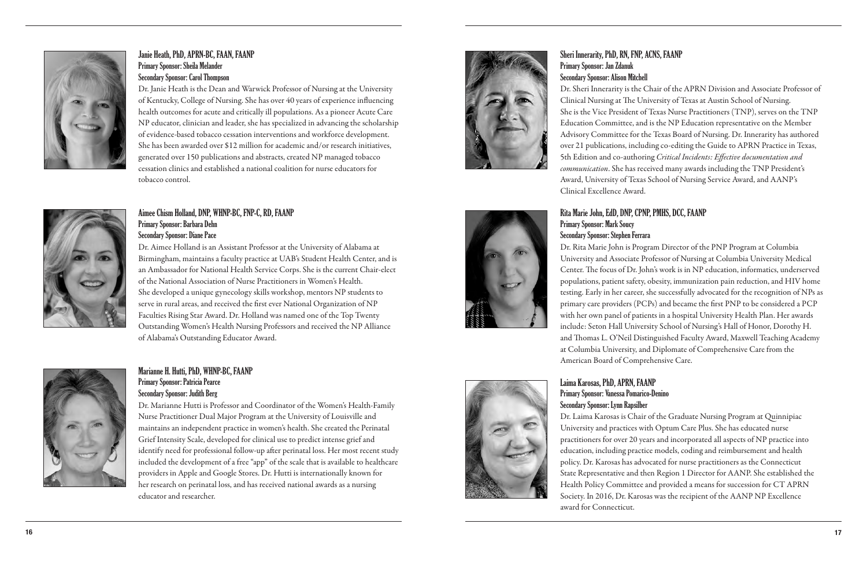## Sheri Innerarity, PhD, RN, FNP, ACNS, FAANP Primary Sponsor: Jan Zdanuk Secondary Sponsor: Alison Mitchell

Dr. Sheri Innerarity is the Chair of the APRN Division and Associate Professor of Clinical Nursing at The University of Texas at Austin School of Nursing. She is the Vice President of Texas Nurse Practitioners (TNP), serves on the TNP Education Committee, and is the NP Education representative on the Member Advisory Committee for the Texas Board of Nursing. Dr. Innerarity has authored over 21 publications, including co-editing the Guide to APRN Practice in Texas, 5th Edition and co-authoring *Critical Incidents: Effective documentation and communication*. She has received many awards including the TNP President's Award, University of Texas School of Nursing Service Award, and AANP's Clinical Excellence Award.

Rita Marie John, EdD, DNP, CPNP, PMHS, DCC, FAANP Primary Sponsor: Mark Soucy Secondary Sponsor: Stephen Ferrara Dr. Rita Marie John is Program Director of the PNP Program at Columbia University and Associate Professor of Nursing at Columbia University Medical Center. The focus of Dr. John's work is in NP education, informatics, underserved populations, patient safety, obesity, immunization pain reduction, and HIV home testing. Early in her career, she successfully advocated for the recognition of NPs as primary care providers (PCPs) and became the first PNP to be considered a PCP with her own panel of patients in a hospital University Health Plan. Her awards include: Seton Hall University School of Nursing's Hall of Honor, Dorothy H. and Thomas L. O'Neil Distinguished Faculty Award, Maxwell Teaching Academy at Columbia University, and Diplomate of Comprehensive Care from the American Board of Comprehensive Care.

## Laima Karosas, PhD, APRN, FAANP Primary Sponsor: Vanessa Pomarico-Denino Secondary Sponsor: Lynn Rapsilber

Dr. Laima Karosas is Chair of the Graduate Nursing Program at Quinnipiac University and practices with Optum Care Plus. She has educated nurse practitioners for over 20 years and incorporated all aspects of NP practice into education, including practice models, coding and reimbursement and health policy. Dr. Karosas has advocated for nurse practitioners as the Connecticut State Representative and then Region 1 Director for AANP. She established the Health Policy Committee and provided a means for succession for CT APRN Society. In 2016, Dr. Karosas was the recipient of the AANP NP Excellence award for Connecticut.





## Janie Heath, PhD, APRN-BC, FAAN, FAANP Primary Sponsor: Sheila Melander Secondary Sponsor: Carol Thompson

Dr. Janie Heath is the Dean and Warwick Professor of Nursing at the University of Kentucky, College of Nursing. She has over 40 years of experience influencing health outcomes for acute and critically ill populations. As a pioneer Acute Care NP educator, clinician and leader, she has specialized in advancing the scholarship of evidence-based tobacco cessation interventions and workforce development. She has been awarded over \$12 million for academic and/or research initiatives, generated over 150 publications and abstracts, created NP managed tobacco cessation clinics and established a national coalition for nurse educators for tobacco control.



## Aimee Chism Holland, DNP, WHNP-BC, FNP-C, RD, FAANP Primary Sponsor: Barbara Dehn Secondary Sponsor: Diane Pace

Dr. Aimee Holland is an Assistant Professor at the University of Alabama at Birmingham, maintains a faculty practice at UAB's Student Health Center, and is an Ambassador for National Health Service Corps. She is the current Chair-elect of the National Association of Nurse Practitioners in Women's Health. She developed a unique gynecology skills workshop, mentors NP students to serve in rural areas, and received the first ever National Organization of NP Faculties Rising Star Award. Dr. Holland was named one of the Top Twenty Outstanding Women's Health Nursing Professors and received the NP Alliance of Alabama's Outstanding Educator Award.



## Marianne H. Hutti, PhD, WHNP-BC, FAANP Primary Sponsor: Patricia Pearce Secondary Sponsor: Judith Berg

Dr. Marianne Hutti is Professor and Coordinator of the Women's Health-Family Nurse Practitioner Dual Major Program at the University of Louisville and maintains an independent practice in women's health. She created the Perinatal Grief Intensity Scale, developed for clinical use to predict intense grief and identify need for professional follow-up after perinatal loss. Her most recent study included the development of a free "app" of the scale that is available to healthcare providers in Apple and Google Stores. Dr. Hutti is internationally known for her research on perinatal loss, and has received national awards as a nursing educator and researcher.

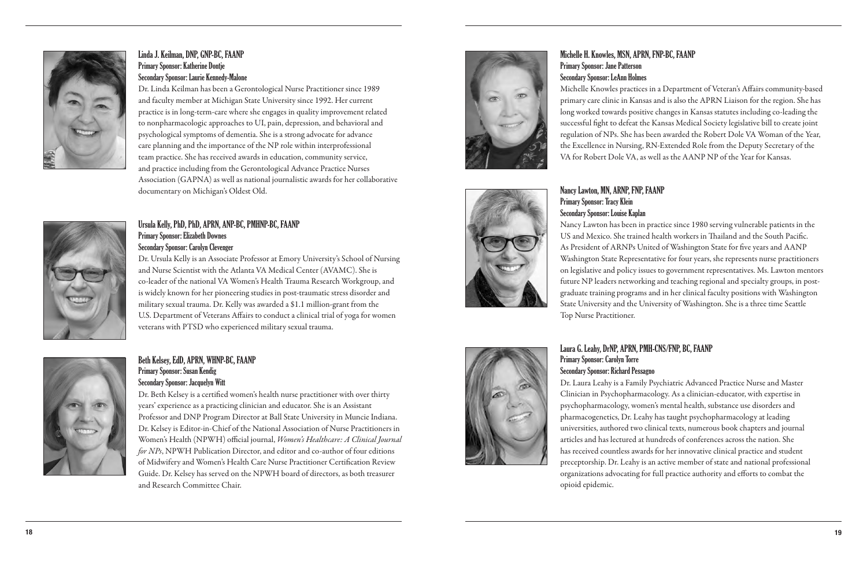Michelle H. Knowles, MSN, APRN, FNP-BC, FAANP Primary Sponsor: Jane Patterson Secondary Sponsor: LeAnn Holmes

Michelle Knowles practices in a Department of Veteran's Affairs community-based primary care clinic in Kansas and is also the APRN Liaison for the region. She has long worked towards positive changes in Kansas statutes including co-leading the successful fight to defeat the Kansas Medical Society legislative bill to create joint regulation of NPs. She has been awarded the Robert Dole VA Woman of the Year, the Excellence in Nursing, RN-Extended Role from the Deputy Secretary of the VA for Robert Dole VA, as well as the AANP NP of the Year for Kansas.

## Nancy Lawton, MN, ARNP, FNP, FAANP Primary Sponsor: Tracy Klein Secondary Sponsor: Louise Kaplan

Nancy Lawton has been in practice since 1980 serving vulnerable patients in the US and Mexico. She trained health workers in Thailand and the South Pacific. As President of ARNPs United of Washington State for five years and AANP Washington State Representative for four years, she represents nurse practitioners on legislative and policy issues to government representatives. Ms. Lawton mentors future NP leaders networking and teaching regional and specialty groups, in postgraduate training programs and in her clinical faculty positions with Washington State University and the University of Washington. She is a three time Seattle Top Nurse Practitioner.



## Laura G. Leahy, DrNP, APRN, PMH-CNS/FNP, BC, FAANP

Primary Sponsor: Carolyn Torre Secondary Sponsor: Richard Pessagno Dr. Laura Leahy is a Family Psychiatric Advanced Practice Nurse and Master Clinician in Psychopharmacology. As a clinician-educator, with expertise in psychopharmacology, women's mental health, substance use disorders and pharmacogenetics, Dr. Leahy has taught psychopharmacology at leading universities, authored two clinical texts, numerous book chapters and journal articles and has lectured at hundreds of conferences across the nation. She has received countless awards for her innovative clinical practice and student preceptorship. Dr. Leahy is an active member of state and national professional organizations advocating for full practice authority and efforts to combat the opioid epidemic.



## Linda J. Keilman, DNP, GNP-BC, FAANP Primary Sponsor: Katherine Dontje Secondary Sponsor: Laurie Kennedy-Malone

Dr. Linda Keilman has been a Gerontological Nurse Practitioner since 1989 and faculty member at Michigan State University since 1992. Her current practice is in long-term-care where she engages in quality improvement related to nonpharmacologic approaches to UI, pain, depression, and behavioral and psychological symptoms of dementia. She is a strong advocate for advance care planning and the importance of the NP role within interprofessional team practice. She has received awards in education, community service, and practice including from the Gerontological Advance Practice Nurses Association (GAPNA) as well as national journalistic awards for her collaborative documentary on Michigan's Oldest Old.



Dr. Ursula Kelly is an Associate Professor at Emory University's School of Nursing and Nurse Scientist with the Atlanta VA Medical Center (AVAMC). She is co-leader of the national VA Women's Health Trauma Research Workgroup, and is widely known for her pioneering studies in post-traumatic stress disorder and military sexual trauma. Dr. Kelly was awarded a \$1.1 million-grant from the U.S. Department of Veterans Affairs to conduct a clinical trial of yoga for women veterans with PTSD who experienced military sexual trauma.



## Beth Kelsey, EdD, APRN, WHNP-BC, FAANP Primary Sponsor: Susan Kendig Secondary Sponsor: Jacquelyn Witt

Dr. Beth Kelsey is a certified women's health nurse practitioner with over thirty years' experience as a practicing clinician and educator. She is an Assistant Professor and DNP Program Director at Ball State University in Muncie Indiana. Dr. Kelsey is Editor-in-Chief of the National Association of Nurse Practitioners in Women's Health (NPWH) official journal, *Women's Healthcare: A Clinical Journal for NPs*, NPWH Publication Director, and editor and co-author of four editions of Midwifery and Women's Health Care Nurse Practitioner Certification Review Guide. Dr. Kelsey has served on the NPWH board of directors, as both treasurer and Research Committee Chair.

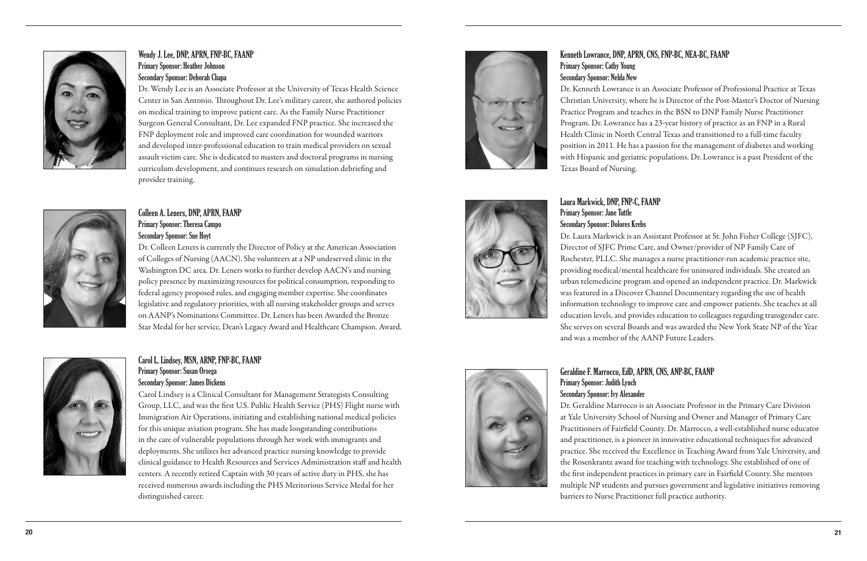## Kenneth Lowrance, DNP, APRN, CNS, FNP-BC, NEA-BC, FAANP Primary Sponsor: Cathy Young Secondary Sponsor: Nelda New

Dr. Kenneth Lowrance is an Associate Professor of Professional Practice at Texas Christian University, where he is Director of the Post-Master's Doctor of Nursing Practice Program and teaches in the BSN to DNP Family Nurse Practitioner Program. Dr. Lowrance has a 23-year history of practice as an FNP in a Rural Health Clinic in North Central Texas and transitioned to a full-time faculty position in 2011. He has a passion for the management of diabetes and working with Hispanic and geriatric populations. Dr. Lowrance is a past President of the Texas Board of Nursing.



## Laura Markwick, DNP, FNP-C, FAANP

# Primary Sponsor: Jane Tuttle Secondary Sponsor: Dolores Krebs

Dr. Laura Markwick is an Assistant Professor at St. John Fisher College (SJFC), Director of SJFC Prime Care, and Owner/provider of NP Family Care of Rochester, PLLC. She manages a nurse practitioner-run academic practice site, providing medical/mental healthcare for uninsured individuals. She created an urban telemedicine program and opened an independent practice. Dr. Markwick was featured in a Discover Channel Documentary regarding the use of health information technology to improve care and empower patients. She teaches at all education levels, and provides education to colleagues regarding transgender care. She serves on several Boards and was awarded the New York State NP of the Year and was a member of the AANP Future Leaders.

## Geraldine F. Marrocco, EdD, APRN, CNS, ANP-BC, FAANP Primary Sponsor: Judith Lynch Secondary Sponsor: Ivy Alexander

Dr. Geraldine Marrocco is an Associate Professor in the Primary Care Division at Yale University School of Nursing and Owner and Manager of Primary Care Practitioners of Fairfield County. Dr. Marrocco, a well-established nurse educator and practitioner, is a pioneer in innovative educational techniques for advanced practice. She received the Excellence in Teaching Award from Yale University, and the Rosenkrantz award for teaching with technology. She established of one of the first independent practices in primary care in Fairfield County. She mentors multiple NP students and pursues government and legislative initiatives removing barriers to Nurse Practitioner full practice authority.



## Wendy J. Lee, DNP, APRN, FNP-BC, FAANP Primary Sponsor: Heather Johnson Secondary Sponsor: Deborah Chapa

Dr. Wendy Lee is an Associate Professor at the University of Texas Health Science Center in San Antonio. Throughout Dr. Lee's military career, she authored policies on medical training to improve patient care. As the Family Nurse Practitioner Surgeon General Consultant, Dr. Lee expanded FNP practice. She increased the FNP deployment role and improved care coordination for wounded warriors and developed inter-professional education to train medical providers on sexual assault victim care. She is dedicated to masters and doctoral programs in nursing curriculum development, and continues research on simulation debriefing and provider training.



## Colleen A. Leners, DNP, APRN, FAANP Primary Sponsor: Theresa Campo

Secondary Sponsor: Sue Hoyt

Dr. Colleen Leners is currently the Director of Policy at the American Association of Colleges of Nursing (AACN). She volunteers at a NP undeserved clinic in the Washington DC area. Dr. Leners works to further develop AACN's and nursing policy presence by maximizing resources for political consumption, responding to federal agency proposed rules, and engaging member expertise. She coordinates legislative and regulatory priorities, with all nursing stakeholder groups and serves on AANP's Nominations Committee. Dr. Leners has been Awarded the Bronze Star Medal for her service, Dean's Legacy Award and Healthcare Champion. Award.



## Carol L. Lindsey, MSN, ARNP, FNP-BC, FAANP Primary Sponsor: Susan Orsega Secondary Sponsor: James Dickens

Carol Lindsey is a Clinical Consultant for Management Strategists Consulting Group, LLC, and was the first U.S. Public Health Service (PHS) Flight nurse with Immigration Air Operations, initiating and establishing national medical policies for this unique aviation program. She has made longstanding contributions in the care of vulnerable populations through her work with immigrants and deployments. She utilizes her advanced practice nursing knowledge to provide clinical guidance to Health Resources and Services Administration staff and health centers. A recently retired Captain with 30 years of active duty in PHS, she has received numerous awards including the PHS Meritorious Service Medal for her distinguished career.

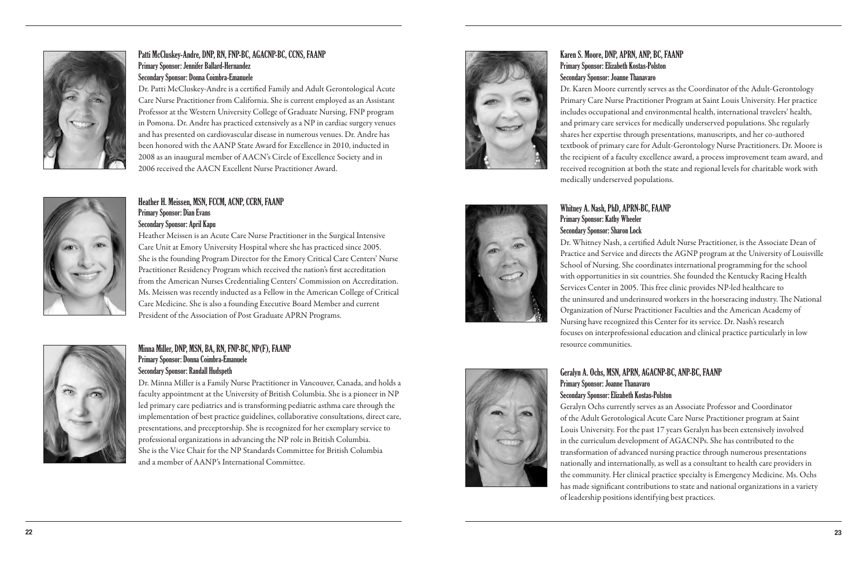## Karen S. Moore, DNP, APRN, ANP, BC, FAANP Primary Sponsor: Elizabeth Kostas-Polston Secondary Sponsor: Joanne Thanavaro

Dr. Karen Moore currently serves as the Coordinator of the Adult-Gerontology Primary Care Nurse Practitioner Program at Saint Louis University. Her practice includes occupational and environmental health, international travelers' health, and primary care services for medically underserved populations. She regularly shares her expertise through presentations, manuscripts, and her co-authored textbook of primary care for Adult-Gerontology Nurse Practitioners. Dr. Moore is the recipient of a faculty excellence award, a process improvement team award, and received recognition at both the state and regional levels for charitable work with medically underserved populations.

# Whitney A. Nash, PhD, APRN-BC, FAANP Primary Sponsor: Kathy Wheeler Secondary Sponsor: Sharon Lock resource communities.



Dr. Whitney Nash, a certified Adult Nurse Practitioner, is the Associate Dean of Practice and Service and directs the AGNP program at the University of Louisville School of Nursing. She coordinates international programming for the school with opportunities in six countries. She founded the Kentucky Racing Health Services Center in 2005. This free clinic provides NP-led healthcare to the uninsured and underinsured workers in the horseracing industry. The National Organization of Nurse Practitioner Faculties and the American Academy of Nursing have recognized this Center for its service. Dr. Nash's research focuses on interprofessional education and clinical practice particularly in low

## Geralyn A. Ochs, MSN, APRN, AGACNP-BC, ANP-BC, FAANP

Primary Sponsor: Joanne Thanavaro Secondary Sponsor: Elizabeth Kostas-Polston Geralyn Ochs currently serves as an Associate Professor and Coordinator of the Adult Gerotological Acute Care Nurse Practitioner program at Saint Louis University. For the past 17 years Geralyn has been extensively involved in the curriculum development of AGACNPs. She has contributed to the transformation of advanced nursing practice through numerous presentations nationally and internationally, as well as a consultant to health care providers in the community. Her clinical practice specialty is Emergency Medicine. Ms. Ochs has made significant contributions to state and national organizations in a variety of leadership positions identifying best practices.



## Patti McCluskey-Andre, DNP, RN, FNP-BC, AGACNP-BC, CCNS, FAANP Primary Sponsor: Jennifer Ballard-Hernandez Secondary Sponsor: Donna Coimbra-Emanuele

Dr. Patti McCluskey-Andre is a certified Family and Adult Gerontological Acute Care Nurse Practitioner from California. She is current employed as an Assistant Professor at the Western University College of Graduate Nursing, FNP program in Pomona. Dr. Andre has practiced extensively as a NP in cardiac surgery venues and has presented on cardiovascular disease in numerous venues. Dr. Andre has been honored with the AANP State Award for Excellence in 2010, inducted in 2008 as an inaugural member of AACN's Circle of Excellence Society and in 2006 received the AACN Excellent Nurse Practitioner Award.

## Heather H. Meissen, MSN, FCCM, ACNP, CCRN, FAANP Primary Sponsor: Dian Evans Secondary Sponsor: April Kapu

Heather Meissen is an Acute Care Nurse Practitioner in the Surgical Intensive Care Unit at Emory University Hospital where she has practiced since 2005. She is the founding Program Director for the Emory Critical Care Centers' Nurse Practitioner Residency Program which received the nation's first accreditation from the American Nurses Credentialing Centers' Commission on Accreditation. Ms. Meissen was recently inducted as a Fellow in the American College of Critical Care Medicine. She is also a founding Executive Board Member and current President of the Association of Post Graduate APRN Programs.



## Minna Miller, DNP, MSN, BA, RN, FNP-BC, NP(F), FAANP Primary Sponsor: Donna Coimbra-Emanuele Secondary Sponsor: Randall Hudspeth

Dr. Minna Miller is a Family Nurse Practitioner in Vancouver, Canada, and holds a faculty appointment at the University of British Columbia. She is a pioneer in NP led primary care pediatrics and is transforming pediatric asthma care through the implementation of best practice guidelines, collaborative consultations, direct care, presentations, and preceptorship. She is recognized for her exemplary service to professional organizations in advancing the NP role in British Columbia. She is the Vice Chair for the NP Standards Committee for British Columbia and a member of AANP's International Committee.

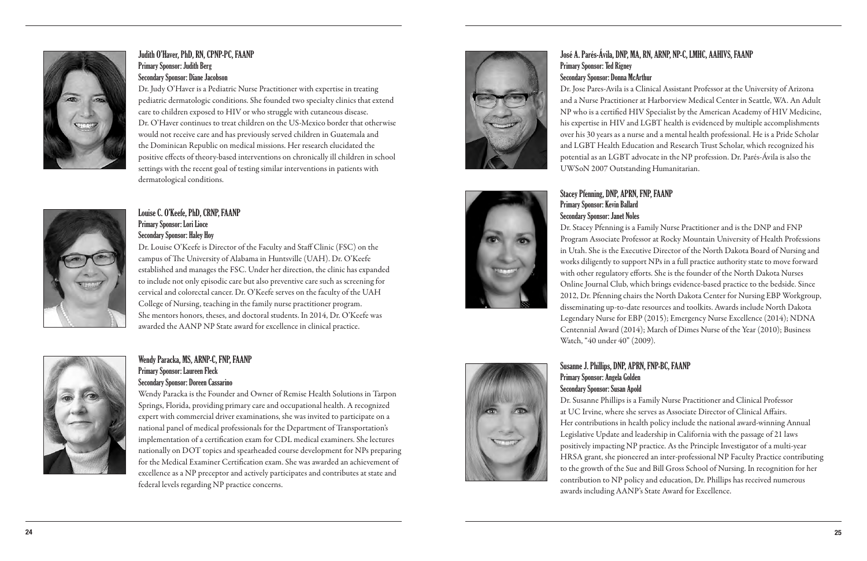## José A. Parés-Ávila, DNP, MA, RN, ARNP, NP-C, LMHC, AAHIVS, FAANP Primary Sponsor: Ted Rigney Secondary Sponsor: Donna McArthur

Dr. Jose Pares-Avila is a Clinical Assistant Professor at the University of Arizona and a Nurse Practitioner at Harborview Medical Center in Seattle, WA. An Adult NP who is a certified HIV Specialist by the American Academy of HIV Medicine, his expertise in HIV and LGBT health is evidenced by multiple accomplishments over his 30 years as a nurse and a mental health professional. He is a Pride Scholar and LGBT Health Education and Research Trust Scholar, which recognized his potential as an LGBT advocate in the NP profession. Dr. Parés-Ávila is also the UWSoN 2007 Outstanding Humanitarian.

# Stacey Pfenning, DNP, APRN, FNP, FAANP Primary Sponsor: Kevin Ballard Secondary Sponsor: Janet Noles

Dr. Stacey Pfenning is a Family Nurse Practitioner and is the DNP and FNP Program Associate Professor at Rocky Mountain University of Health Professions in Utah. She is the Executive Director of the North Dakota Board of Nursing and works diligently to support NPs in a full practice authority state to move forward with other regulatory efforts. She is the founder of the North Dakota Nurses Online Journal Club, which brings evidence-based practice to the bedside. Since 2012, Dr. Pfenning chairs the North Dakota Center for Nursing EBP Workgroup, disseminating up-to-date resources and toolkits. Awards include North Dakota Legendary Nurse for EBP (2015); Emergency Nurse Excellence (2014); NDNA Centennial Award (2014); March of Dimes Nurse of the Year (2010); Business Watch, "40 under 40" (2009).

## Susanne J. Phillips, DNP, APRN, FNP-BC, FAANP

Primary Sponsor: Angela Golden Secondary Sponsor: Susan Apold Dr. Susanne Phillips is a Family Nurse Practitioner and Clinical Professor

at UC Irvine, where she serves as Associate Director of Clinical Affairs. Her contributions in health policy include the national award-winning Annual Legislative Update and leadership in California with the passage of 21 laws positively impacting NP practice. As the Principle Investigator of a multi-year HRSA grant, she pioneered an inter-professional NP Faculty Practice contributing to the growth of the Sue and Bill Gross School of Nursing. In recognition for her contribution to NP policy and education, Dr. Phillips has received numerous awards including AANP's State Award for Excellence.



## Judith O'Haver, PhD, RN, CPNP-PC, FAANP Primary Sponsor: Judith Berg Secondary Sponsor: Diane Jacobson

Dr. Judy O'Haver is a Pediatric Nurse Practitioner with expertise in treating pediatric dermatologic conditions. She founded two specialty clinics that extend care to children exposed to HIV or who struggle with cutaneous disease. Dr. O'Haver continues to treat children on the US-Mexico border that otherwise would not receive care and has previously served children in Guatemala and the Dominican Republic on medical missions. Her research elucidated the positive effects of theory-based interventions on chronically ill children in school settings with the recent goal of testing similar interventions in patients with dermatological conditions.



## Louise C. O'Keefe, PhD, CRNP, FAANP Primary Sponsor: Lori Lioce Secondary Sponsor: Haley Hoy

Dr. Louise O'Keefe is Director of the Faculty and Staff Clinic (FSC) on the campus of The University of Alabama in Huntsville (UAH). Dr. O'Keefe established and manages the FSC. Under her direction, the clinic has expanded to include not only episodic care but also preventive care such as screening for cervical and colorectal cancer. Dr. O'Keefe serves on the faculty of the UAH College of Nursing, teaching in the family nurse practitioner program. She mentors honors, theses, and doctoral students. In 2014, Dr. O'Keefe was awarded the AANP NP State award for excellence in clinical practice.



## Wendy Paracka, MS, ARNP-C, FNP, FAANP Primary Sponsor: Laureen Fleck Secondary Sponsor: Doreen Cassarino

Wendy Paracka is the Founder and Owner of Remise Health Solutions in Tarpon Springs, Florida, providing primary care and occupational health. A recognized expert with commercial driver examinations, she was invited to participate on a national panel of medical professionals for the Department of Transportation's implementation of a certification exam for CDL medical examiners. She lectures nationally on DOT topics and spearheaded course development for NPs preparing for the Medical Examiner Certification exam. She was awarded an achievement of excellence as a NP preceptor and actively participates and contributes at state and federal levels regarding NP practice concerns.

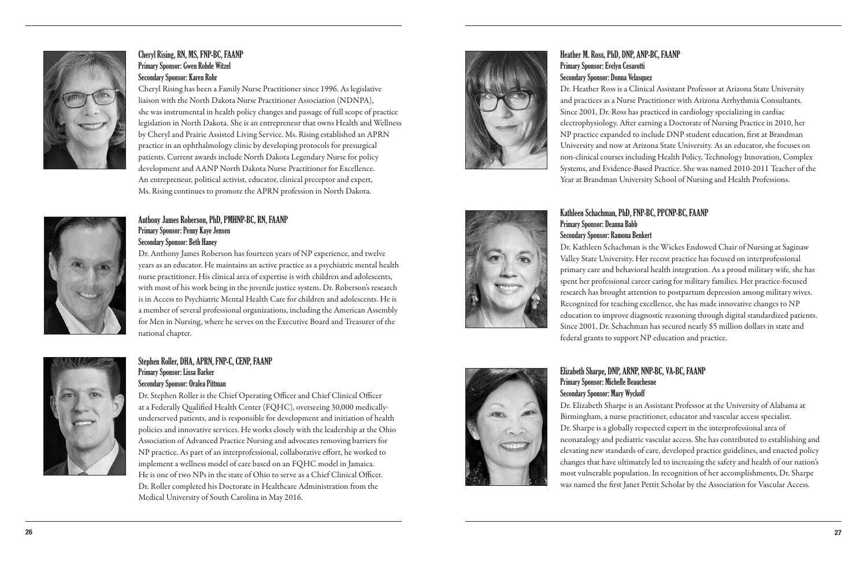Heather M. Ross, PhD, DNP, ANP-BC, FAANP Primary Sponsor: Evelyn Cesarotti Secondary Sponsor: Donna Velasquez Dr. Heather Ross is a Clinical Assistant Professor at Arizona State University and practices as a Nurse Practitioner with Arizona Arrhythmia Consultants. Since 2001, Dr. Ross has practiced in cardiology specializing in cardiac electrophysiology. After earning a Doctorate of Nursing Practice in 2010, her NP practice expanded to include DNP student education, first at Brandman University and now at Arizona State University. As an educator, she focuses on non-clinical courses including Health Policy, Technology Innovation, Complex Systems, and Evidence-Based Practice. She was named 2010-2011 Teacher of the Year at Brandman University School of Nursing and Health Professions.

## Kathleen Schachman, PhD, FNP-BC, PPCNP-BC, FAANP

Primary Sponsor: Deanna Babb Secondary Sponsor: Ramona Benkert Dr. Kathleen Schachman is the Wickes Endowed Chair of Nursing at Saginaw Valley State University. Her recent practice has focused on interprofessional primary care and behavioral health integration. As a proud military wife, she has spent her professional career caring for military families. Her practice-focused research has brought attention to postpartum depression among military wives. Recognized for teaching excellence, she has made innovative changes to NP education to improve diagnostic reasoning through digital standardized patients. Since 2001, Dr. Schachman has secured nearly \$5 million dollars in state and federal grants to support NP education and practice.



## Elizabeth Sharpe, DNP, ARNP, NNP-BC, VA-BC, FAANP Primary Sponsor: Michelle Beauchesne Secondary Sponsor: Mary Wyckoff

Dr. Elizabeth Sharpe is an Assistant Professor at the University of Alabama at Birmingham, a nurse practitioner, educator and vascular access specialist. Dr. Sharpe is a globally respected expert in the interprofessional area of neonatalogy and pediatric vascular access. She has contributed to establishing and elevating new standards of care, developed practice guidelines, and enacted policy changes that have ultimately led to increasing the safety and health of our nation's most vulnerable population. In recognition of her accomplishments, Dr. Sharpe was named the first Janet Pettit Scholar by the Association for Vascular Access.



## Cheryl Rising, RN, MS, FNP-BC, FAANP Primary Sponsor: Gwen Rohde Witzel Secondary Sponsor: Karen Rohr

Cheryl Rising has been a Family Nurse Practitioner since 1996. As legislative liaison with the North Dakota Nurse Practitioner Association (NDNPA), she was instrumental in health policy changes and passage of full scope of practice legislation in North Dakota. She is an entrepreneur that owns Health and Wellness by Cheryl and Prairie Assisted Living Service. Ms. Rising established an APRN practice in an ophthalmology clinic by developing protocols for presurgical patients. Current awards include North Dakota Legendary Nurse for policy development and AANP North Dakota Nurse Practitioner for Excellence. An entrepreneur, political activist, educator, clinical preceptor and expert, Ms. Rising continues to promote the APRN profession in North Dakota.



## Anthony James Roberson, PhD, PMHNP-BC, RN, FAANP Primary Sponsor: Penny Kaye Jensen Secondary Sponsor: Beth Haney

Dr. Anthony James Roberson has fourteen years of NP experience, and twelve years as an educator. He maintains an active practice as a psychiatric mental health nurse practitioner. His clinical area of expertise is with children and adolescents, with most of his work being in the juvenile justice system. Dr. Roberson's research is in Access to Psychiatric Mental Health Care for children and adolescents. He is a member of several professional organizations, including the American Assembly for Men in Nursing, where he serves on the Executive Board and Treasurer of the national chapter.



## Stephen Roller, DHA, APRN, FNP-C, CENP, FAANP Primary Sponsor: Lissa Barker Secondary Sponsor: Oralea Pittman

Dr. Stephen Roller is the Chief Operating Officer and Chief Clinical Officer at a Federally Qualified Health Center (FQHC), overseeing 30,000 medicallyunderserved patients, and is responsible for development and initiation of health policies and innovative services. He works closely with the leadership at the Ohio Association of Advanced Practice Nursing and advocates removing barriers for NP practice. As part of an interprofessional, collaborative effort, he worked to implement a wellness model of care based on an FQHC model in Jamaica. He is one of two NPs in the state of Ohio to serve as a Chief Clinical Officer. Dr. Roller completed his Doctorate in Healthcare Administration from the Medical University of South Carolina in May 2016.

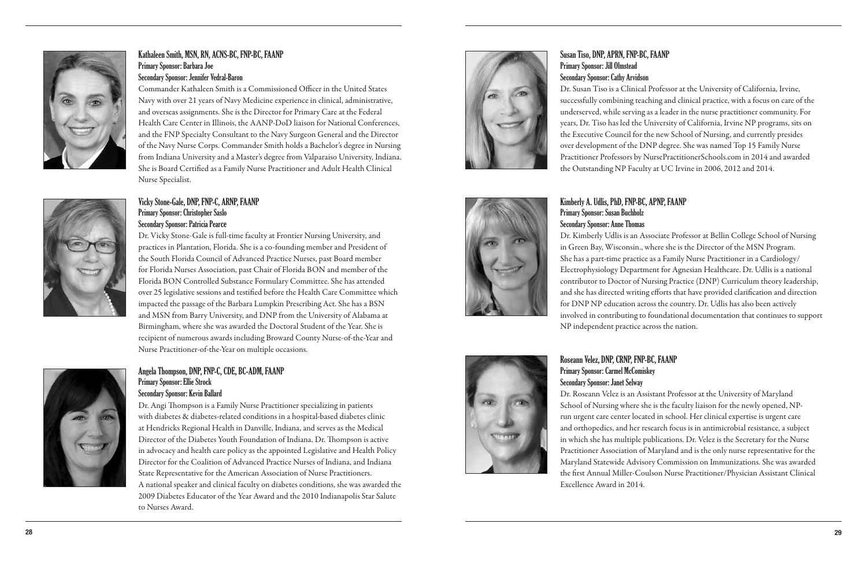## Susan Tiso, DNP, APRN, FNP-BC, FAANP Primary Sponsor: Jill Olmstead Secondary Sponsor: Cathy Arvidson

Dr. Susan Tiso is a Clinical Professor at the University of California, Irvine, successfully combining teaching and clinical practice, with a focus on care of the underserved, while serving as a leader in the nurse practitioner community. For years, Dr. Tiso has led the University of California, Irvine NP programs, sits on the Executive Council for the new School of Nursing, and currently presides over development of the DNP degree. She was named Top 15 Family Nurse Practitioner Professors by NursePractitionerSchools.com in 2014 and awarded the Outstanding NP Faculty at UC Irvine in 2006, 2012 and 2014.



## Kimberly A. Udlis, PhD, FNP-BC, APNP, FAANP

Primary Sponsor: Susan Buchholz Secondary Sponsor: Anne Thomas Dr. Kimberly Udlis is an Associate Professor at Bellin College School of Nursing in Green Bay, Wisconsin., where she is the Director of the MSN Program. She has a part-time practice as a Family Nurse Practitioner in a Cardiology/ Electrophysiology Department for Agnesian Healthcare. Dr. Udlis is a national contributor to Doctor of Nursing Practice (DNP) Curriculum theory leadership, and she has directed writing efforts that have provided clarification and direction for DNP NP education across the country. Dr. Udlis has also been actively involved in contributing to foundational documentation that continues to support NP independent practice across the nation.



## Roseann Velez, DNP, CRNP, FNP-BC, FAANP

Primary Sponsor: Carmel McComiskey Secondary Sponsor: Janet Selway Dr. Roseann Velez is an Assistant Professor at the University of Maryland School of Nursing where she is the faculty liaison for the newly opened, NPrun urgent care center located in school. Her clinical expertise is urgent care and orthopedics, and her research focus is in antimicrobial resistance, a subject in which she has multiple publications. Dr. Velez is the Secretary for the Nurse Practitioner Association of Maryland and is the only nurse representative for the Maryland Statewide Advisory Commission on Immunizations. She was awarded the first Annual Miller-Coulson Nurse Practitioner/Physician Assistant Clinical Excellence Award in 2014.



## Kathaleen Smith, MSN, RN, ACNS-BC, FNP-BC, FAANP Primary Sponsor: Barbara Joe Secondary Sponsor: Jennifer Vedral-Baron

Commander Kathaleen Smith is a Commissioned Officer in the United States Navy with over 21 years of Navy Medicine experience in clinical, administrative, and overseas assignments. She is the Director for Primary Care at the Federal Health Care Center in Illinois, the AANP-DoD liaison for National Conferences, and the FNP Specialty Consultant to the Navy Surgeon General and the Director of the Navy Nurse Corps. Commander Smith holds a Bachelor's degree in Nursing from Indiana University and a Master's degree from Valparaiso University, Indiana. She is Board Certified as a Family Nurse Practitioner and Adult Health Clinical Nurse Specialist.

## Vicky Stone-Gale, DNP, FNP-C, ARNP, FAANP Primary Sponsor: Christopher Saslo Secondary Sponsor: Patricia Pearce





## Angela Thompson, DNP, FNP-C, CDE, BC-ADM, FAANP Primary Sponsor: Ellie Strock Secondary Sponsor: Kevin Ballard

Dr. Angi Thompson is a Family Nurse Practitioner specializing in patients with diabetes & diabetes-related conditions in a hospital-based diabetes clinic at Hendricks Regional Health in Danville, Indiana, and serves as the Medical Director of the Diabetes Youth Foundation of Indiana. Dr. Thompson is active in advocacy and health care policy as the appointed Legislative and Health Policy Director for the Coalition of Advanced Practice Nurses of Indiana, and Indiana State Representative for the American Association of Nurse Practitioners. A national speaker and clinical faculty on diabetes conditions, she was awarded the 2009 Diabetes Educator of the Year Award and the 2010 Indianapolis Star Salute to Nurses Award.

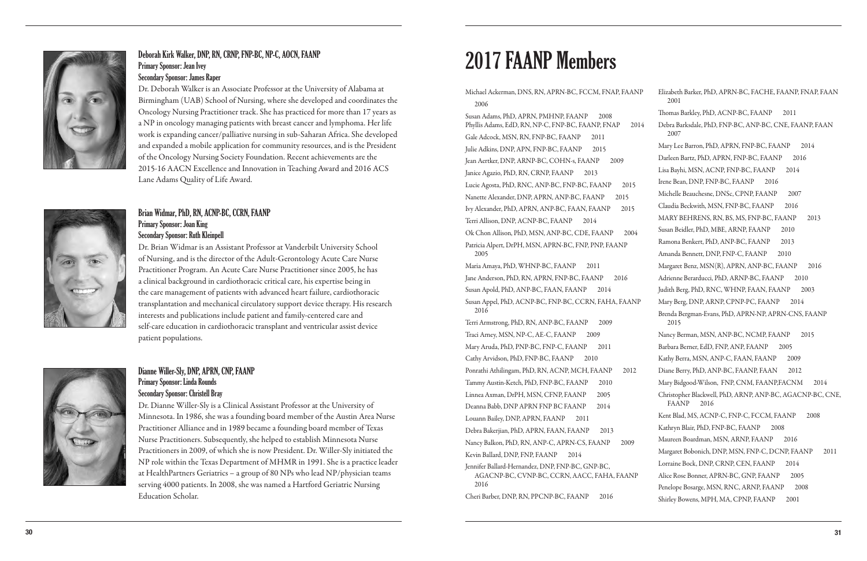

## Deborah Kirk Walker, DNP, RN, CRNP, FNP-BC, NP-C, AOCN, FAANP Primary Sponsor: Jean Ivey Secondary Sponsor: James Raper

Dr. Deborah Walker is an Associate Professor at the University of Alabama at Birmingham (UAB) School of Nursing, where she developed and coordinates the Oncology Nursing Practitioner track. She has practiced for more than 17 years as a NP in oncology managing patients with breast cancer and lymphoma. Her life work is expanding cancer/palliative nursing in sub-Saharan Africa. She developed and expanded a mobile application for community resources, and is the President of the Oncology Nursing Society Foundation. Recent achievements are the 2015-16 AACN Excellence and Innovation in Teaching Award and 2016 ACS Lane Adams Quality of Life Award.



Dr. Brian Widmar is an Assistant Professor at Vanderbilt University School of Nursing, and is the director of the Adult-Gerontology Acute Care Nurse Practitioner Program. An Acute Care Nurse Practitioner since 2005, he has a clinical background in cardiothoracic critical care, his expertise being in the care management of patients with advanced heart failure, cardiothoracic transplantation and mechanical circulatory support device therapy. His research interests and publications include patient and family-centered care and self-care education in cardiothoracic transplant and ventricular assist device patient populations.



## Dianne Willer-Sly, DNP, APRN, CNP, FAANP Primary Sponsor: Linda Rounds Secondary Sponsor: Christell Bray

Dr. Dianne Willer-Sly is a Clinical Assistant Professor at the University of Minnesota. In 1986, she was a founding board member of the Austin Area Nurse Practitioner Alliance and in 1989 became a founding board member of Texas Nurse Practitioners. Subsequently, she helped to establish Minnesota Nurse Practitioners in 2009, of which she is now President. Dr. Willer-Sly initiated the NP role within the Texas Department of MHMR in 1991. She is a practice leader at HealthPartners Geriatrics – a group of 80 NPs who lead NP/physician teams serving 4000 patients. In 2008, she was named a Hartford Geriatric Nursing Education Scholar.

Michael Ackerman, DNS, RN, APRN-BC, FCCM, FNAP, FAAN 2006

Phyllis Adams, EdD, RN, NP-C, FNP-BC, FAANP, FNAP 201 Gale Adcock, MSN, RN, FNP-BC, FAANP 2011 Julie Adkins, DNP, APN, FNP-BC, FAANP 2015 Jean Aertker, DNP, ARNP-BC, COHN-s, FAANP 2009 Janice Agazio, PhD, RN, CRNP, FAANP 2013 Lucie Agosta, PhD, RNC, ANP-BC, FNP-BC, FAANP 2015 Nanette Alexander, DNP, APRN, ANP-BC, FAANP 2015 Ivy Alexander, PhD, APRN, ANP-BC, FAAN, FAANP 2015 Terri Allison, DNP, ACNP-BC, FAANP 2014 Ok Chon Allison, PhD, MSN, ANP-BC, CDE, FAANP 2004 Patricia Alpert, DrPH, MSN, APRN-BC, FNP, PNP, FAANP 2005 Maria Amaya, PhD, WHNP-BC, FAANP 2011 Jane Anderson, PhD, RN, APRN, FNP-BC, FAANP 2016 Susan Apold, PhD, ANP-BC, FAAN, FAANP 2014 Susan Appel, PhD, ACNP-BC, FNP-BC, CCRN, FAHA, FAANP 2016 Terri Armstrong, PhD, RN, ANP-BC, FAANP 2009 Traci Arney, MSN, NP-C, AE-C, FAANP 2009 Mary Aruda, PhD, PNP-BC, FNP-C, FAANP 2011 Cathy Arvidson, PhD, FNP-BC, FAANP 2010 Ponrathi Athilingam, PhD, RN, ACNP, MCH, FAANP 2012 Tammy Austin-Ketch, PhD, FNP-BC, FAANP 2010 Linnea Axman, DrPH, MSN, CFNP, FAANP 2005 Deanna Babb, DNP APRN FNP BC FAANP 2014 Louann Bailey, DNP, APRN, FAANP 2011 Debra Bakerjian, PhD, APRN, FAAN, FAANP 2013 Nancy Balkon, PhD, RN, ANP-C, APRN-CS, FAANP 2009 Kevin Ballard, DNP, FNP, FAANP 2014 Jennifer Ballard-Hernandez, DNP, FNP-BC, GNP-BC, AGACNP-BC, CVNP-BC, CCRN, AACC, FAHA, FAANP 2016 Cheri Barber, DNP, RN, PPCNP-BC, FAANP 2016 Susan Adams, PhD, APRN, PMHN P, FAANP 2008

| $\mathbb{P}$ | Elizabeth Barker, PhD, APRN-BC, FACHE, FAANP, FNAP, FAAN<br>2001           |
|--------------|----------------------------------------------------------------------------|
|              | Thomas Barkley, PhD, ACNP-BC, FAANP<br>2011                                |
| 14           | Debra Barksdale, PhD, FNP-BC, ANP-BC, CNE, FAANP, FAAN<br>2007             |
|              | Mary Lee Barron, PhD, APRN, FNP-BC, FAANP<br>2014                          |
|              | Darleen Bartz, PhD, APRN, FNP-BC, FAANP<br>2016                            |
|              | Lisa Bayhi, MSN, ACNP, FNP-BC, FAANP<br>2014                               |
|              | Irene Bean, DNP, FNP-BC, FAANP<br>2016                                     |
|              | Michelle Beauchesne, DNSc, CPNP, FAANP<br>2007                             |
|              | Claudia Beckwith, MSN, FNP-BC, FAANP<br>2016                               |
|              | MARY BEHRENS, RN, BS, MS, FNP-BC, FAANP<br>2013                            |
|              | Susan Beidler, PhD, MBE, ARNP, FAANP<br>2010                               |
|              | Ramona Benkert, PhD, ANP-BC, FAANP<br>2013                                 |
|              | Amanda Bennett, DNP, FNP-C, FAANP<br>2010                                  |
|              | Margaret Benz, MSN(R), APRN, ANP-BC, FAANP<br>2016                         |
|              | Adrienne Berarducci, PhD, ARNP-BC, FAANP<br>2010                           |
|              | Judith Berg, PhD, RNC, WHNP, FAAN, FAANP<br>2003                           |
| P            | Mary Berg, DNP, ARNP, CPNP-PC, FAANP<br>2014                               |
|              | Brenda Bergman-Evans, PhD, APRN-NP, APRN-CNS, FAANP<br>2015                |
|              | Nancy Berman, MSN, ANP-BC, NCMP, FAANP<br>2015                             |
|              | Barbara Berner, EdD, FNP, ANP, FAANP<br>2005                               |
|              | Kathy Berra, MSN, ANP-C, FAAN, FAANP<br>2009                               |
|              | Diane Berry, PhD, ANP-BC, FAANP, FAAN<br>2012                              |
|              | Mary Bidgood-Wilson, FNP, CNM, FAANP,FACNM<br>2014                         |
|              | Christopher Blackwell, PhD, ARNP, ANP-BC, AGACNP-BC, CNE,<br>FAANP<br>2016 |
|              | Kent Blad, MS, ACNP-C, FNP-C, FCCM, FAANP<br>2008                          |
|              | Kathryn Blair, PhD, FNP-BC, FAANP<br>2008                                  |
|              | Maureen Boardman, MSN, ARNP, FAANP<br>2016                                 |
|              | Margaret Bobonich, DNP, MSN, FNP-C, DCNP, FAANP<br>2011                    |
|              | Lorraine Bock, DNP, CRNP, CEN, FAANP<br>2014                               |
|              | Alice Rose Bonner, APRN-BC, GNP, FAANP<br>2005                             |
|              | Penelope Bosarge, MSN, RNC, ARNP, FAANP<br>2008                            |
|              | Shirley Bowens, MPH, MA, CPNP, FAANP<br>2001                               |
|              |                                                                            |

# 201 7 FAANP Members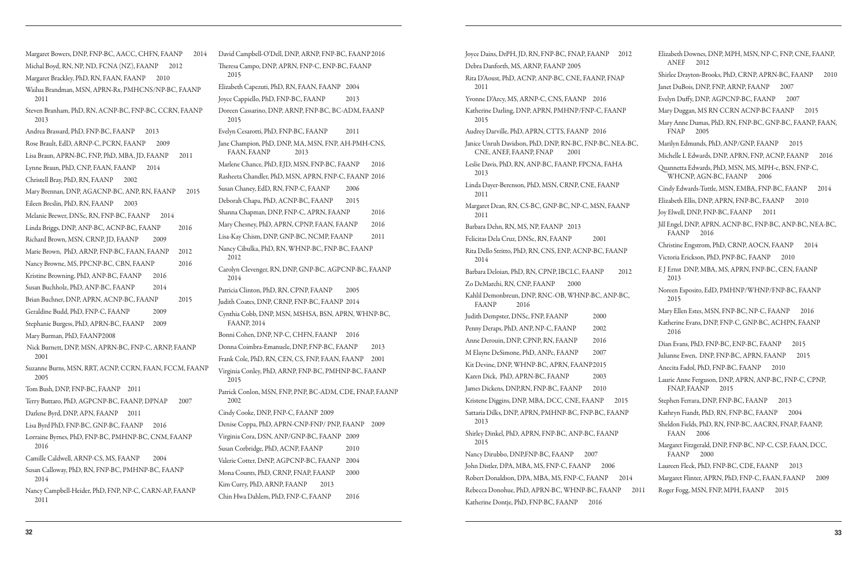Margaret Bowers, DNP, FNP-BC, AACC, CHFN, FAANP 2014 Michal Boyd, RN, NP, ND, FCNA (NZ), FAANP 2012 Margaret Brackley, PhD, RN, FAAN, FAANP 2010 Wailua Brandman, MSN, APRN-Rx, PMHCNS/NP-BC, FAANP 2011 Steven Branham, PhD, RN, ACNP-BC, FNP-BC, CCRN, FAANP 2013 Andrea Brassard, PhD, FNP-BC, FAANP 2013 Rose Brault, EdD, ARNP-C, PCRN, FAANP 2009 Lisa Braun, APRN-BC, FNP, PhD, MBA, JD, FAANP 2011 Lynne Braun, PhD, CNP, FAAN, FAANP 2014 Christell Bray, PhD, RN, FAANP 2002 Mary Brennan, DNP, AGACNP-BC, ANP, RN, FAANP 2015 Eileen Breslin, PhD, RN, FAANP 2003 Melanie Brewer, DNSc, RN, FNP-BC, FAANP 2014 Linda Briggs, DNP, ANP-BC, ACNP-BC, FAANP 2016 Richard Brown, MSN, CRNP, JD, FAANP 2009 Marie Brown, PhD, ARNP, FNP-BC, FAAN, FAANP 2012 Nancy Browne, MS, PPCNP-BC, CBN, FAANP 2016 Kristine Browning, PhD, ANP-BC, FAANP 2016 Susan Buchholz, PhD, ANP-BC, FAANP 2014 Brian Buchner, DNP, APRN, ACNP-BC, FAANP 2015 Geraldine Budd, PhD, FNP-C, FAANP 2009 Stephanie Burgess, PhD, APRN-BC, FAANP 2009 Mary Burman, PhD, FAANP2008 Nick Burnett, DNP, MSN, APRN-BC, FNP-C, ARNP, FAANP 2001 Suzanne Burns, MSN, RRT, ACNP, CCRN, FAAN, FCCM, FAANP 2005 Tom Bush, DNP, FNP-BC, FAANP 2011 Terry Buttaro, PhD, AGPCNP-BC, FAANP, DPNAP 2007 Darlene Byrd, DNP, APN, FAANP 2011 Lisa Byrd PhD, FNP-BC, GNP-BC, FAANP 2016 Lorraine Byrnes, PhD, FNP-BC, PMHNP-BC, CNM, FAANP 2016 Camille Caldwell, ARNP-CS, MS, FAANP 2004 Susan Calloway, PhD, RN, FNP-BC, PMHNP-BC, FAANP 2014 Nancy Campbell-Heider, PhD, FNP, NP-C, CARN-AP, FAANP 2011

David Campbell-O'Dell, DNP, ARNP, FNP-BC, FAANP 2016 Theresa Campo, DNP, APRN, FNP-C, ENP-BC, FAANP 2015 Elizabeth Capezuti, PhD, RN, FAAN, FAANP 2004 Joyce Cappiello, PhD, FNP-BC, FAANP 2013 Doreen Cassarino, DNP, ARNP, FNP-BC, BC-ADM, FAANP 2015 Evelyn Cesarotti, PhD, FNP-BC, FAANP 2011 Jane Champion, PhD, DNP, MA, MSN, FNP, AH-PMH-CNS, FAAN, FAANP 2013 Marlene Chance, PhD, EJD, MSN, FNP-BC, FAANP 2016 Rasheeta Chandler, PhD, MSN, APRN, FNP-C, FAANP 2016 Susan Chaney, EdD, RN, FNP-C, FAANP 2006 Deborah Chapa, PhD, ACNP-BC, FAANP 2015 Shanna Chapman, DNP, FNP-C, APRN, FAANP 2016 Mary Chesney, PhD, APRN, CPNP, FAAN, FAANP 2016 Lisa-Kay Chism, DNP, GNP-BC, NCMP, FAANP 2011 Nancy Cibulka, PhD, RN, WHNP-BC, FNP-BC, FAANP 2012 Carolyn Clevenger, RN, DNP, GNP-BC, AGPCNP-BC, FAANP 2014 Patricia Clinton, PhD, RN, CPNP, FAANP 2005 Judith Coates, DNP, CRNP, FNP-BC, FAANP 2014 Cynthia Cobb, DNP, MSN, MSHSA, BSN, APRN, WHNP-BC, FAANP, 2014 Bonni Cohen, DNP, NP-C, CHFN, FAANP 2016 Donna Coimbra-Emanuele, DNP, FNP-BC, FAANP 2013 Frank Cole, PhD, RN, CEN, CS, FNP, FAAN, FAANP 2001 Virginia Conley, PhD, ARNP, FNP-BC, PMHNP-BC, FAANP 2015 Patrick Conlon, MSN, FNP, PNP, BC-ADM, CDE, FNAP, FAANP 2002 Cindy Cooke, DNP, FNP-C, FAANP 2009 Denise Coppa, PhD, APRN-CNP-FNP/ PNP, FAANP 2009 Virginia Cora, DSN, ANP/GNP-BC, FAANP 2009 Susan Corbridge, PhD, ACNP, FAANP 2010 Valerie Cotter, DrNP, AGPCNP-BC, FAANP 2004 Mona Counts, PhD, CRNP, FNAP, FAANP 2000 Kim Curry, PhD, ARNP, FAANP 2013 Chin Hwa Dahlem, PhD, FNP-C, FAANP 2016

Joyce Dains, DrPH, JD, RN, FNP-BC, FNAP, FAANP 2012 Debra Danforth, MS, ARNP, FAANP 2005 Rita D'Aoust, PhD, ACNP, ANP-BC, CNE, FAANP, FNAP 2011 Yvonne D'Arcy, MS, ARNP-C, CNS, FAANP 2016 Katherine Darling, DNP, APRN, PMHNP/FNP-C, FAANP 2015 Audrey Darville, PhD, APRN, CTTS, FAANP 2016 Janice Unruh Davidson, PhD, DNP, RN-BC, FNP-BC, NEA-BC, CNE, ANEF, FAANP, FNAP 2001 Leslie Davis, PhD, RN, ANP-BC, FAANP, FPCNA, FAHA 2013 Linda Dayer-Berenson, PhD, MSN, CRNP, CNE, FAANP 2011 Margaret Dean, RN, CS-BC, GNP-BC, NP-C, MSN, FAANP 2011 Barbara Dehn, RN, MS, NP, FAANP 2013 Felicitas Dela Cruz, DNSc, RN, FAANP 2001 Rita Dello Stritto, PhD, RN, CNS, ENP, ACNP-BC, FAANP 2014 Barbara Deloian, PhD, RN, CPNP, IBCLC, FAANP 2012 Zo DeMarchi, RN, CNP, FAANP 2000 Kahlil Demonbreun, DNP, RNC-OB, WHNP-BC, ANP-BC, FAANP 2016 Judith Dempster, DNSc, FNP, FAANP 2000 Penny Deraps, PhD, ANP, NP-C, FAANP 2002 Anne Derouin, DNP, CPNP, RN, FAANP 2016 M Elayne DeSimone, PhD, ANPc, FAANP 2007 Kit Devine, DNP, WHNP-BC, APRN, FAANP2015 Karen Dick, PhD, APRN-BC, FAANP 2003 James Dickens, DNP,RN, FNP-BC, FAANP 2010 Kristene Diggins, DNP, MBA, DCC, CNE, FAANP 2015 Sattaria Dilks, DNP, APRN, PMHNP-BC, FNP-BC, FAANP 2013 Shirley Dinkel, PhD, APRN, FNP-BC, ANP-BC, FAANP 2015 Nancy Dirubbo, DNP, FNP-BC, FAANP 2007 John Distler, DPA, MBA, MS, FNP-C, FAANP 2006 Robert Donaldson, DPA, MBA, MS, FNP-C, FAANP 2014 Rebecca Donohue, PhD, APRN-BC, WHNP-BC, FAANP 2011 Katherine Dontje, PhD, FNP-BC, FAANP 2016

ElizabethDownes, DNP, MPH, MSN, NP-C, FNP, CNE, FAANP, ANEF 2012 Shirlee Drayton-Brooks, PhD, CRNP, APRN-BC, FAANP 2010 Janet DuBois, DNP, FNP, ARNP, FAANP 2007 Evelyn Duffy, DNP, AGPCNP-BC, FAANP 2007 Mary Duggan, MS RN CCRN ACNP-BC FAANP 2015 Mary Anne Dumas, PhD, RN, FNP-BC, GNP-BC, FAANP, FAAN, FNAP 2005 Marilyn Edmunds, PhD, ANP/GNP, FAANP 2015 Michelle L Edwards, DNP, APRN, FNP, ACNP, FAANP 2016 Quannetta Edwards, PhD, MSN, MS, MPH-c, BSN, FNP-C, WHCNP, AGN-BC, FAANP 2006 Cindy Edwards-Tuttle, MSN, EMBA, FNP-BC, FAANP 2014 Elizabeth Ellis, DNP, APRN, FNP-BC, FAANP 2010 Joy Elwell, DNP, FNP-BC, FAANP 2011 Jill Engel, DNP, APRN, ACNP-BC, FNP-BC, ANP-BC, NEA-BC, FAANP 2016 Christine Engstrom, PhD, CRNP, AOCN, FAANP 2014 Victoria Erickson, PhD, PNP-BC, FAANP 2010 E J Ernst DNP, MBA, MS, APRN, FNP-BC, CEN, FAANP 2013 Noreen Esposito, EdD, PMHNP/WHNP/FNP-BC, FAANP 2015 Mary Ellen Estes, MSN, FNP-BC, NP-C, FAANP 2016 Katherine Evans, DNP, FNP-C, GNP-BC, ACHPN, FAANP 2016 Dian Evans, PhD, FNP-BC, ENP-BC, FAANP 2015 Julianne Ewen, DNP, FNP-BC, APRN, FAANP 2015 Anecita Fadol, PhD, FNP-BC, FAANP 2010 Laurie Anne Ferguson, DNP, APRN, ANP-BC, FNP-C, CPNP, FNAP, FAANP 2015 Stephen Ferrara, DNP, FNP-BC, FAANP 2013 Kathryn Fiandt, PhD, RN, FNP-BC, FAANP 2004 Sheldon Fields, PhD, RN, FNP-BC, AACRN, FNAP, FAANP, FAAN 2006 Margaret Fitzgerald, DNP, FNP-BC, NP-C, CSP, FAAN, DCC, FAANP 2000 Laureen Fleck, PhD, FNP-BC, CDE, FAANP 2013 Margaret Flinter, APRN, PhD, FNP-C, FAAN, FAANP 2009 Roger Fogg, MSN, FNP, MPH, FAANP 2015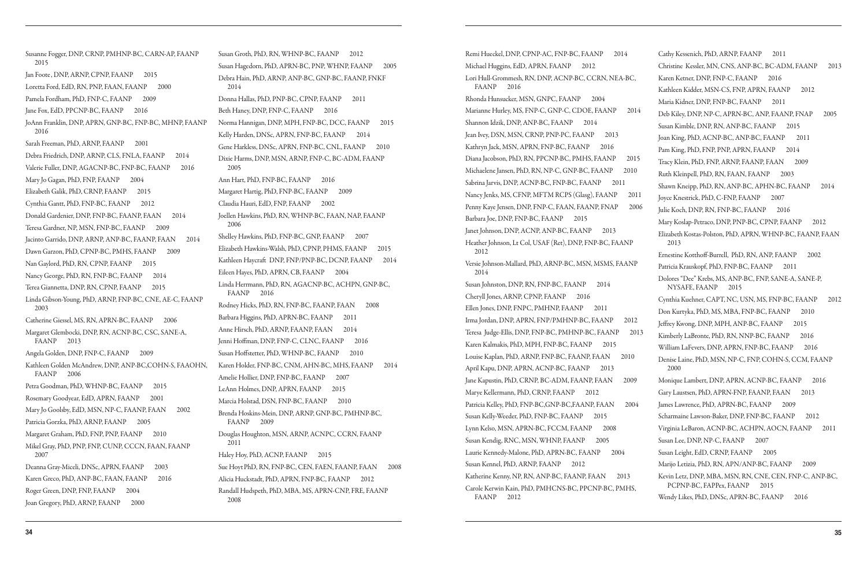Susanne Fogger, DNP, CRNP, PMHNP-BC, CARN-AP, FAANP 2015 Jan Foote, DNP, ARNP, CPNP, FAANP 2015 Loretta Ford, EdD, RN, PNP, FAAN, FAANP 2000 Pamela Fordham, PhD, FNP-C, FAANP 2009 Jane Fox, EdD, PPCNP-BC, FAANP 2016 JoAnn Franklin, DNP, APRN, GNP-BC, FNP-BC, MHNP, FAANP 2016 Sarah Freeman, PhD, ARNP, FAANP 2001 Debra Friedrich, DNP, ARNP, CLS, FNLA, FAANP 2014 Valerie Fuller, DNP, AGACNP-BC, FNP-BC, FAANP 2016 Mary Jo Gagan, PhD, FNP, FAANP 2004 Elizabeth Galik, PhD, CRNP, FAANP 2015 Cynthia Gantt, PhD, FNP-BC, FAANP 2012 Donald Gardenier, DNP, FNP-BC, FAANP, FAAN 2014 Teresa Gardner, NP, MSN, FNP-BC, FAANP 2009 Jacinto Garrido, DNP, ARNP, ANP-BC, FAANP, FAAN 2014 Dawn Garzon, PhD, CPNP-BC, PMHS, FAANP 2009 Nan Gaylord, PhD, RN, CPNP, FAANP 2015 Nancy George, PhD, RN, FNP-BC, FAANP 2014 Terea Giannetta, DNP, RN, CPNP, FAANP 2015 Linda Gibson-Young, PhD, ARNP, FNP-BC, CNE, AE-C, FAANP 2003 Catherine Giessel, MS, RN, APRN-BC, FAANP 2006 Margaret Glembocki, DNP, RN, ACNP-BC, CSC, SANE-A, FAANP 2013 Angela Golden, DNP, FNP-C, FAANP 2009 Kathleen Golden McAndrew, DNP, ANP-BC,COHN-S, FAAOHN, FAANP 2006 Petra Goodman, PhD, WHNP-BC, FAANP 2015 Rosemary Goodyear, EdD, APRN, FAANP 2001 Mary Jo Goolsby, EdD, MSN, NP-C, FAANP, FAAN 2002 Patricia Gorzka, PhD, ARNP, FAANP 2005 Margaret Graham, PhD, FNP, PNP, FAANP 2010 Mikel Gray, PhD, PNP, FNP, CUNP, CCCN, FAAN, FAANP 2007 Deanna Gray-Miceli, DNSc, APRN, FAANP 2003 Karen Greco, PhD, ANP-BC, FAAN, FAANP 2016 Roger Green, DNP, FNP, FAANP 2004 Joan Gregory, PhD, ARNP, FAANP 2000

Susan Groth, PhD, RN, WHNP-BC, FAANP 2012 Susan Hagedorn, PhD, APRN-BC, PNP, WHNP, FAANP 2005 Debra Hain, PhD, ARNP, ANP-BC, GNP-BC, FAANP, FNKF 2014 Donna Hallas, PhD, PNP-BC, CPNP, FAANP 2011 Beth Haney, DNP, FNP-C, FAANP 2016 Norma Hannigan, DNP, MPH, FNP-BC, DCC, FAANP 2015 Kelly Harden, DNSc, APRN, FNP-BC, FAANP 2014 Gene Harkless, DNSc, APRN, FNP-BC, CNL, FAANP 2010 Dixie Harms, DNP, MSN, ARNP, FNP-C, BC-ADM, FAANP 2005 Ann Hart, PhD, FNP-BC, FAANP 2016 Margaret Hartig, PhD, FNP-BC, FAANP 2009 Claudia Hauri, EdD, FNP, FAANP 2002 Joellen Hawkins, PhD, RN, WHNP-BC, FAAN, NAP, FAANP 2006 Shelley Hawkins, PhD, FNP-BC, GNP, FAANP 2007 Elizabeth Hawkins-Walsh, PhD, CPNP, PHMS, FAANP 2015 Kathleen Haycraft DNP, FNP/PNP-BC, DCNP, FAANP 2014 Eileen Hayes, PhD, APRN, CB, FAANP 2004 Linda Herrmann, PhD, RN, AGACNP-BC, ACHPN, GNP-BC, FAANP 2016 Rodney Hicks, PhD, RN, FNP-BC, FAANP, FAAN 2008 Barbara Higgins, PhD, APRN-BC, FAANP 2011 Anne Hirsch, PhD, ARNP, FAANP, FAAN 2014 Jenni Hoffman, DNP, FNP-C, CLNC, FAANP 2016 Susan Hoffstetter, PhD, WHNP-BC, FAANP 2010 Karen Holder, FNP-BC, CNM, AHN-BC, MHS, FAANP 2014 Amelie Hollier, DNP, FNP-BC, FAANP 2007 LeAnn Holmes, DNP, APRN, FAANP 2015 Marcia Holstad, DSN, FNP-BC, FAANP 2010 Brenda Hoskins-Mein, DNP, ARNP, GNP-BC, PMHNP-BC, FAANP 2009 Douglas Houghton, MSN, ARNP, ACNPC, CCRN, FAANP 2011 Haley Hoy, PhD, ACNP, FAANP 2015 Sue Hoyt PhD, RN, FNP-BC, CEN, FAEN, FAANP, FAAN 2008 Alicia Huckstadt, PhD, APRN, FNP-BC, FAANP 2012 Randall Hudspeth, PhD, MBA, MS, APRN-CNP, FRE, FAANP 2008

Remi Hueckel, DNP, CPNP-AC, FNP-BC, FAANP 2014 Michael Huggins, EdD, APRN, FAANP 2012 Lori Hull-Grommesh, RN, DNP, ACNP-BC, CCRN, NEA-BC, FAANP 2016 Rhonda Hunsucker, MSN, GNPC, FAANP 2004 Marianne Hurley, MS, FNP-C, GNP-C, CDOE, FAANP 2014 Shannon Idzik, DNP, ANP-BC, FAANP 2014 Jean Ivey, DSN, MSN, CRNP, PNP-PC, FAANP 2013 Kathryn Jack, MSN, APRN, FNP-BC, FAANP 2016 Diana Jacobson, PhD, RN, PPCNP-BC, PMHS, FAANP 2015 Michaelene Jansen, PhD, RN, NP-C, GNP-BC, FAANP 2010 Sabrina Jarvis, DNP, ACNP-BC, FNP-BC, FAANP 2011 Nancy Jenks, MS, CFNP, MFTM RCPS (Glasg), FAANP 201 Penny Kaye Jensen, DNP, FNP-C, FAAN, FAANP, FNAP 200 Barbara Joe, DNP, FNP-BC, FAANP 2015 Janet Johnson, DNP, ACNP, ANP-BC, FAANP 2013 Heather Johnson, Lt Col, USAF (Ret), DNP, FNP-BC, FAANP 2012 Versie Johnson-Mallard, PhD, ARNP-BC, MSN, MSMS, FAANP 2014 Susan Johnston, DNP, RN, FNP-BC, FAANP 2014 Cheryll Jones, ARNP, CPNP, FAANP 2016 Ellen Jones, DNP, FNPC, PMHNP, FAANP 2011 Irma Jordan, DNP, APRN, FNP/PMHNP-BC, FAANP 2012 Teresa Judge-Ellis, DNP, FNP-BC, PMHNP-BC, FAANP 201 Karen Kalmakis, PhD, MPH, FNP-BC, FAANP 2015 Louise Kaplan, PhD, ARNP, FNP-BC, FAANP, FAAN 2010 April Kapu, DNP, APRN, ACNP-BC, FAANP 2013 Jane Kapustin, PhD, CRNP, BC-ADM, FAANP, FAAN 2009 Marye Kellermann, PhD, CRNP, FAANP 2012 Patricia Kelley, PhD, FNP-BC, GNP-BC, FAANP, FAAN 2004 Susan Kelly-Weeder, PhD, FNP-BC, FAANP 2015 Lynn Kelso, MSN, APRN-BC, FCCM, FAANP 2008 Susan Kendig, RNC, MSN, WHNP, FAANP 2005 Laurie Kennedy-Malone, PhD, APRN-BC, FAANP 2004 Susan Kennel, PhD, ARNP, FAANP 2012 Katherine Kenny, NP, RN, ANP-BC, FAANP, FAAN 2013 Carole Kerwin Kain, PhD, PMHCNS-BC, PPCNP-BC, PMHS, FAANP 2012

|   | Cathy Kessenich, PhD, ARNP, FAANP<br>2011                                                  |
|---|--------------------------------------------------------------------------------------------|
|   | Christine Kessler, MN, CNS, ANP-BC, BC-ADM, FAANP<br>2013                                  |
|   | Karen Ketner, DNP, FNP-C, FAANP<br>2016                                                    |
|   | Kathleen Kidder, MSN-CS, FNP, APRN, FAANP<br>2012                                          |
|   | Maria Kidner, DNP, FNP-BC, FAANP<br>2011                                                   |
|   | Deb Kiley, DNP, NP-C, APRN-BC, ANP, FAANP, FNAP<br>2005                                    |
|   | Susan Kimble, DNP, RN, ANP-BC, FAANP<br>2015                                               |
|   | Joan King, PhD, ACNP-BC, ANP-BC, FAANP<br>2011                                             |
|   | Pam King, PhD, FNP, PNP, APRN, FAANP<br>2014                                               |
|   | Tracy Klein, PhD, FNP, ARNP, FAANP, FAAN<br>2009                                           |
|   | Ruth Kleinpell, PhD, RN, FAAN, FAANP<br>2003                                               |
|   | Shawn Kneipp, PhD, RN, ANP-BC, APHN-BC, FAANP<br>2014                                      |
| l | Joyce Knestrick, PhD, C-FNP, FAANP<br>2007                                                 |
| 6 | Julie Koch, DNP, RN, FNP-BC, FAANP<br>2016                                                 |
|   | Mary Koslap-Petraco, DNP, PNP-BC, CPNP, FAANP<br>2012                                      |
|   | Elizabeth Kostas-Polston, PhD, APRN, WHNP-BC, FAANP, FAAN<br>2013                          |
|   | Ernestine Kotthoff-Burrell, PhD, RN, ANP, FAANP<br>2002                                    |
|   | Patricia Krauskopf, PhD, FNP-BC, FAANP<br>2011                                             |
|   | Dolores "Dee" Krebs, MS, ANP-BC, FNP, SANE-A, SANE-P,<br>NYSAFE, FAANP<br>2015             |
|   | Cynthia Kuehner, CAPT, NC, USN, MS, FNP-BC, FAANP<br>2012                                  |
|   | Don Kurtyka, PhD, MS, MBA, FNP-BC, FAANP<br>2010                                           |
|   | Jeffrey Kwong, DNP, MPH, ANP-BC, FAANP<br>2015                                             |
| 3 | Kimberly LaBronte, PhD, RN, NNP-BC, FAANP<br>2016                                          |
|   | William LaFevers, DNP, APRN, FNP-BC, FAANP<br>2016                                         |
|   | Denise Laine, PhD, MSN, NP-C, FNP, COHN-S, CCM, FAANP<br>2000                              |
|   | Monique Lambert, DNP, APRN, ACNP-BC, FAANP<br>2016                                         |
|   | Gary Laustsen, PhD, APRN-FNP, FAANP, FAAN<br>2013                                          |
|   | James Lawrence, PhD, APRN-BC, FAANP<br>2009                                                |
|   | Scharmaine Lawson-Baker, DNP, FNP-BC, FAANP<br>2012                                        |
|   | Virginia LeBaron, ACNP-BC, ACHPN, AOCN, FAANP<br>2011                                      |
|   | Susan Lee, DNP, NP-C, FAANP<br>2007                                                        |
|   | Susan Leight, EdD, CRNP, FAANP<br>2005                                                     |
|   | Marijo Letizia, PhD, RN, APN/ANP-BC, FAANP<br>2009                                         |
|   | Kevin Letz, DNP, MBA, MSN, RN, CNE, CEN, FNP-C, ANP-BC,<br>PCPNP-BC, FAPPex, FAANP<br>2015 |
|   | Wendy Likes, PhD, DNSc, APRN-BC, FAANP<br>2016                                             |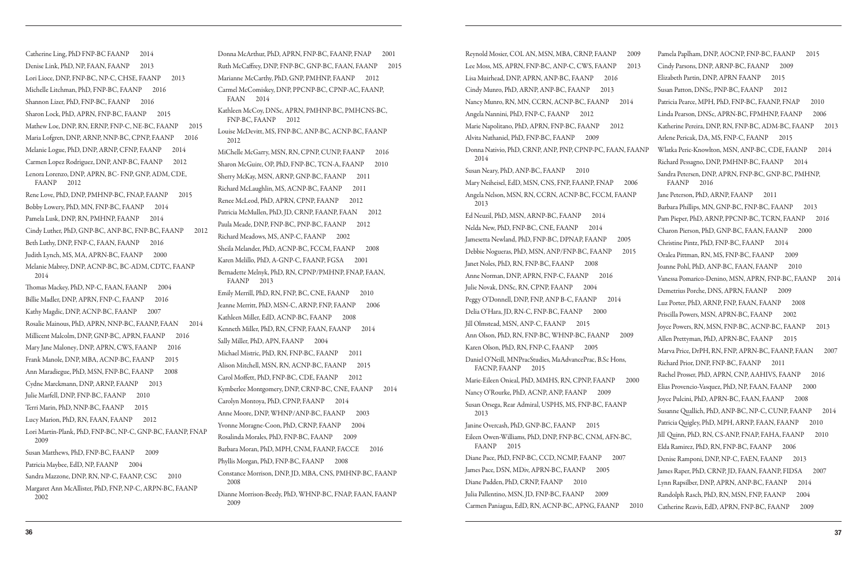Catherine Ling, PhD FNP-BC FAANP 2014 Denise Link, PhD, NP, FAAN, FAANP 2013 Lori Lioce, DNP, FNP-BC, NP-C, CHSE, FAANP 2013 Michelle Litchman, PhD, FNP-BC, FAANP 2016 Shannon Lizer, PhD, FNP-BC, FAANP 2016 Sharon Lock, PhD, APRN, FNP-BC, FAANP 2015 Mathew Loe, DNP, RN, ERNP, FNP-C, NE-BC, FAANP 2015 Maria Lofgren, DNP, ARNP, NNP-BC, CPNP, FAANP 2016 Melanie Logue, PhD, DNP, ARNP, CFNP, FAANP 2014 Carmen Lopez Rodriguez, DNP, ANP-BC, FAANP 2012 Lenora Lorenzo, DNP, APRN, BC- FNP, GNP, ADM, CDE, FAANP 2012 Rene Love, PhD, DNP, PMHNP-BC, FNAP, FAANP 2015 Bobby Lowery, PhD, MN, FNP-BC, FAANP 2014 Pamela Lusk, DNP, RN, PMHNP, FAANP 2014 Cindy Luther, PhD, GNP-BC, ANP-BC, FNP-BC, FAANP 2012 Beth Luthy, DNP, FNP-C, FAAN, FAANP 2016 Judith Lynch, MS, MA, APRN-BC, FAANP 2000 Melanie Mabrey, DNP, ACNP-BC, BC-ADM, CDTC, FAANP 2014 Thomas Mackey, PhD, NP-C, FAAN, FAANP 2004 Billie Madler, DNP, APRN, FNP-C, FAANP 2016 Kathy Magdic, DNP, ACNP-BC, FAANP 2007 Rosalie Mainous, PhD, APRN, NNP-BC, FAANP, FAAN 2014 Millicent Malcolm, DNP, GNP-BC, APRN, FAANP 2016 Mary Jane Maloney, DNP, APRN, CWS, FAANP 2016 Frank Manole, DNP, MBA, ACNP-BC, FAANP 2015 Ann Maradiegue, PhD, MSN, FNP-BC, FAANP 2008 Cydne Marckmann, DNP, ARNP, FAANP 2013 Julie Marfell, DNP, FNP-BC, FAANP 2010 Terri Marin, PhD, NNP-BC, FAANP 2015 Lucy Marion, PhD, RN, FAAN, FAANP 2012 Lori Martin-Plank, PhD, FNP-BC, NP-C, GNP-BC, FAANP, FNAP 2009 Susan Matthews, PhD, FNP-BC, FAANP 2009 Patricia Maybee, EdD, NP, FAANP 2004 Sandra Mazzone, DNP, RN, NP-C, FAANP, CSC 2010 Margaret Ann McAllister, PhD, FNP, NP-C, ARPN-BC, FAANP 2002

Reynold Mosier, COL AN, MSN, MBA, CRNP, FAANP 2009 Lee Moss, MS, APRN, FNP-BC, ANP-C, CWS, FAANP 2013 Lisa Muirhead, DNP, APRN, ANP-BC, FAANP 2016 Cindy Munro, PhD, ARNP, ANP-BC, FAANP 2013 Nancy Munro, RN, MN, CCRN, ACNP-BC, FAANP 2014 Angela Nannini, PhD, FNP-C, FAANP 2012 Marie Napolitano, PhD, APRN, FNP-BC, FAANP 2012 Alvita Nathaniel, PhD, FNP-BC, FAANP 2009 Donna Nativio, PhD, CRNP, ANP, PNP, CPNP-PC, FAAN, FAA 2014 Susan Neary, PhD, ANP-BC, FAANP 2010 Mary Neiheisel, EdD, MSN, CNS, FNP, FAANP, FNAP 2006 Angela Nelson, MSN, RN, CCRN, ACNP-BC, FCCM, FAANP 2013 Ed Neuzil, PhD, MSN, ARNP-BC, FAANP 2014 Nelda New, PhD, FNP-BC, CNE, FAANP 2014 Jamesetta Newland, PhD, FNP-BC, DPNAP, FAANP 2005 Debbie Nogueras, PhD, MSN, ANP/FNP-BC, FAANP 2015 Janet Noles, PhD, RN, FNP-BC, FAANP 2008 Anne Norman, DNP, APRN, FNP-C, FAANP 2016 Julie Novak, DNSc, RN, CPNP, FAANP 2004 Peggy O'Donnell, DNP, FNP, ANP B-C, FAANP 2014 Delia O'Hara, JD, RN-C, FNP-BC, FAANP 2000 Jill Olmstead, MSN, ANP-C, FAANP 2015 Ann Olson, PhD, RN, FNP-BC, WHNP-BC, FAANP 2009 Karen Olson, PhD, RN, FNP-C, FAANP 2005 Daniel O'Neill, MNPracStudies, MaAdvancePrac, B.Sc Hons, FACNP, FAANP 2015 Marie-Eileen Onieal, PhD, MMHS, RN, CPNP, FAANP 2000 Nancy O'Rourke, PhD, ACNP, ANP, FAANP 2009 Susan Orsega, Rear Admiral, USPHS, MS, FNP-BC, FAANP 2013 Janine Overcash, PhD, GNP-BC, FAANP 2015 Eileen Owen-Williams, PhD, DNP, FNP-BC, CNM, AFN-BC, FAANP 2015 Diane Pace, PhD, FNP-BC, CCD, NCMP, FAANP 2007 James Pace, DSN, MDiv, APRN-BC, FAANP 2005 Diane Padden, PhD, CRNP, FAANP 2010 Julia Pallentino, MSN, JD, FNP-BC, FAANP 2009 Carmen Paniagua, EdD, RN, ACNP-BC, APNG, FAANP 201

Donna McArthur, PhD, APRN, FNP-BC, FAANP, FNAP 2001 Ruth McCaffrey, DNP, FNP-BC, GNP-BC, FAAN, FAANP 2015 Marianne McCarthy, PhD, GNP, PMHNP, FAANP 2012 Carmel McComiskey, DNP, PPCNP-BC, CPNP-AC, FAANP, FAAN 2014 Kathleen McCoy, DNSc, APRN, PMHNP-BC, PMHCNS-BC, FNP-BC, FAANP 2012 Louise McDevitt, MS, FNP-BC, ANP-BC, ACNP-BC, FAANP 2012 MiChelle McGarry, MSN, RN, CPNP, CUNP, FAANP 2016 Sharon McGuire, OP, PhD, FNP-BC, TCN-A, FAANP 2010 Sherry McKay, MSN, ARNP, GNP-BC, FAANP 2011 Richard McLaughlin, MS, ACNP-BC, FAANP 2011 Renee McLeod, PhD, APRN, CPNP, FAANP 2012 Patricia McMullen, PhD, JD, CRNP, FAANP, FAAN 2012 Paula Meade, DNP, FNP-BC, PNP-BC, FAANP 2012 Richard Meadows, MS, ANP-C, FAANP 2002 Sheila Melander, PhD, ACNP-BC, FCCM, FAANP 2008 Karen Melillo, PhD, A-GNP-C, FAANP, FGSA 2001 Bernadette Melnyk, PhD, RN, CPNP/PMHNP, FNAP, FAAN, FAANP 2013 Emily Merrill, PhD, RN, FNP, BC, CNE, FAANP 2010 Jeanne Merritt, PhD, MSN-C, ARNP, FNP, FAANP 2006 Kathleen Miller, EdD, ACNP-BC, FAANP 2008 Kenneth Miller, PhD, RN, CFNP, FAAN, FAANP 2014 Sally Miller, PhD, APN, FAANP 2004 Michael Mistric, PhD, RN, FNP-BC, FAANP 2011 Alison Mitchell, MSN, RN, ACNP-BC, FAANP 2015 Carol Moffett, PhD, FNP-BC, CDE, FAANP 2012 Kymberlee Montgomery, DNP, CRNP-BC, CNE, FAANP 2014 Carolyn Montoya, PhD, CPNP, FAANP 2014 Anne Moore, DNP, WHNP/ANP-BC, FAANP 2003 Yvonne Moragne-Coon, PhD, CRNP, FAANP 2004 Rosalinda Morales, PhD, FNP-BC, FAANP 2009 Barbara Moran, PhD, MPH, CNM, FAANP, FACCE 2016 Phyllis Morgan, PhD, FNP-BC, FAANP 2008 Constance Morrison, DNP, JD, MBA, CNS, PMHNP-BC, FAANP 2008 Dianne Morrison-Beedy, PhD, WHNP-BC, FNAP, FAAN, FAANP 2009

|    | Pamela Paplham, DNP, AOCNP, FNP-BC, FAANP<br>2015                   |
|----|---------------------------------------------------------------------|
|    | Cindy Parsons, DNP, ARNP-BC, FAANP<br>2009                          |
|    | Elizabeth Partin, DNP, APRN FAANP<br>2015                           |
|    | Susan Patton, DNSc, PNP-BC, FAANP<br>2012                           |
|    | Patricia Pearce, MPH, PhD, FNP-BC, FAANP, FNAP<br>2010              |
|    | Linda Pearson, DNSc, APRN-BC, FPMHNP, FAANP<br>2006                 |
|    | Katherine Pereira, DNP, RN, FNP-BC, ADM-BC, FAANP<br>2013           |
|    | Arlene Pericak, DA, MS, FNP-C, FAANP<br>2015                        |
| NP | Wlatka Peric-Knowlton, MSN, ANP-BC, CDE, FAANP<br>2014              |
|    | Richard Pessagno, DNP, PMHNP-BC, FAANP<br>2014                      |
|    | Sandra Petersen, DNP, APRN, FNP-BC, GNP-BC, PMHNP,<br>FAANP<br>2016 |
|    | Jane Peterson, PhD, ARNP, FAANP<br>2011                             |
|    | Barbara Phillips, MN, GNP-BC, FNP-BC, FAANP<br>2013                 |
|    | Pam Pieper, PhD, ARNP, PPCNP-BC, TCRN, FAANP<br>2016                |
|    | Charon Pierson, PhD, GNP-BC, FAAN, FAANP<br>2000                    |
|    | Christine Pintz, PhD, FNP-BC, FAANP<br>2014                         |
|    | Oralea Pittman, RN, MS, FNP-BC, FAANP<br>2009                       |
|    | Joanne Pohl, PhD, ANP-BC, FAAN, FAANP<br>2010                       |
|    | Vanessa Pomarico-Denino, MSN, APRN, FNP-BC, FAANP<br>2014           |
|    | Demetrius Porche, DNS, APRN, FAANP<br>2009                          |
|    | Luz Porter, PhD, ARNP, FNP, FAAN, FAANP<br>2008                     |
|    | Priscilla Powers, MSN, APRN-BC, FAANP<br>2002                       |
|    | Joyce Powers, RN, MSN, FNP-BC, ACNP-BC, FAANP<br>2013               |
|    | Allen Prettyman, PhD, APRN-BC, FAANP<br>2015                        |
|    | Marva Price, DrPH, RN, FNP, APRN-BC, FAANP, FAAN<br>2007            |
|    | Richard Prior, DNP, FNP-BC, FAANP<br>2011                           |
|    | Rachel Prosser, PhD, APRN, CNP, AAHIVS, FAANP<br>2016               |
|    | Elias Provencio-Vasquez, PhD, NP, FAAN, FAANP<br>2000               |
|    | Joyce Pulcini, PhD, APRN-BC, FAAN, FAANP<br>2008                    |
|    | Susanne Quallich, PhD, ANP-BC, NP-C, CUNP, FAANP<br>2014            |
|    | Patricia Quigley, PhD, MPH, ARNP, FAAN, FAANP<br>2010               |
|    | Jill Quinn, PhD, RN, CS-ANP, FNAP, FAHA, FAANP<br>2010              |
|    | Elda Ramirez, PhD, RN, FNP-BC, FAANP<br>2006                        |
|    | Denise Ramponi, DNP, NP-C, FAEN, FAANP<br>2013                      |
|    | James Raper, PhD, CRNP, JD, FAAN, FAANP, FIDSA<br>2007              |
|    | 2014<br>Lynn Rapsilber, DNP, APRN, ANP-BC, FAANP                    |
|    | Randolph Rasch, PhD, RN, MSN, FNP, FAANP<br>2004                    |
| 0  | Catherine Reavis, EdD, APRN, FNP-BC, FAANP<br>2009                  |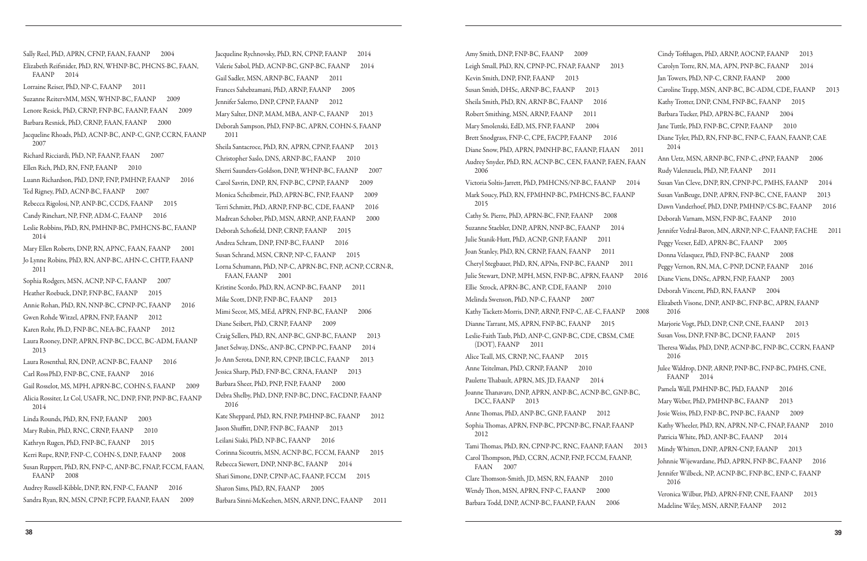Sally Reel, PhD, APRN, CFNP, FAAN, FAANP 2004 Elizabeth Reifsnider, PhD, RN, WHNP-BC, PHCNS-BC, FAAN, FAANP 2014 Lorraine Reiser, PhD, NP-C, FAANP 2011 Suzanne ReitervMM, MSN, WHNP-BC, FAANP 2009 Lenore Resick, PhD, CRNP, FNP-BC, FAANP, FAAN 2009 Barbara Resnick, PhD, CRNP, FAAN, FAANP 2000 Jacqueline Rhoads, PhD, ACNP-BC, ANP-C, GNP, CCRN, FAANP 2007 Richard Ricciardi, PhD, NP, FAANP, FAAN 2007 Ellen Rich, PhD, RN, FNP, FAANP 2010 Luann Richardson, PhD, DNP, FNP, PMHNP, FAANP 2016 Ted Rigney, PhD, ACNP-BC, FAANP 2007 Rebecca Rigolosi, NP, ANP-BC, CCDS, FAANP 2015 Candy Rinehart, NP, FNP, ADM-C, FAANP 2016 Leslie Robbins, PhD, RN, PMHNP-BC, PMHCNS-BC, FAANP 2014 Mary Ellen Roberts, DNP, RN, APNC, FAAN, FAANP 2001 Jo Lynne Robins, PhD, RN, ANP-BC, AHN-C, CHTP, FAANP 2011 Sophia Rodgers, MSN, ACNP, NP-C, FAANP 2007 Heather Roebuck, DNP, FNP-BC, FAANP 2015 Annie Rohan, PhD, RN, NNP-BC, CPNP-PC, FAANP 2016 Gwen Rohde Witzel, APRN, FNP, FAANP 2012 Karen Rohr, Ph.D, FNP-BC, NEA-BC, FAANP 2012 Laura Rooney, DNP, APRN, FNP-BC, DCC, BC-ADM, FAANP 2013 Laura Rosenthal, RN, DNP, ACNP-BC, FAANP 2016 Carl RossPhD, FNP-BC, CNE, FAANP 2016 Gail Rosselot, MS, MPH, APRN-BC, COHN-S, FAANP 2009 Alicia Rossiter, Lt Col, USAFR, NC, DNP, FNP, PNP-BC, FAANP 2014 Linda Rounds, PhD, RN, FNP, FAANP 2003 Mary Rubin, PhD, RNC, CRNP, FAANP 2010 Kathryn Rugen, PhD, FNP-BC, FAANP 2015 Kerri Rupe, RNP, FNP-C, COHN-S, DNP, FAANP 2008 Susan Ruppert, PhD, RN, FNP-C, ANP-BC, FNAP, FCCM, FAAN, FAANP 2008 Audrey Russell-Kibble, DNP, RN, FNP-C, FAANP 2016 Sandra Ryan, RN, MSN, CPNP, FCPP, FAANP, FAAN 2009

Jacqueline Rychnovsky, PhD, RN, CPNP, FAANP 2014 Valerie Sabol, PhD, ACNP-BC, GNP-BC, FAANP 2014 Gail Sadler, MSN, ARNP-BC, FAANP 2011 Frances Sahebzamani, PhD, ARNP, FAANP 2005 Jennifer Salerno, DNP, CPNP, FAANP 2012 Mary Salter, DNP, MAM, MBA, ANP-C, FAANP 2013 Deborah Sampson, PhD, FNP-BC, APRN, COHN-S, FAANP 2011 Sheila Santacroce, PhD, RN, APRN, CPNP, FAANP 2013 Christopher Saslo, DNS, ARNP-BC, FAANP 2010 Sherri Saunders-Goldson, DNP, WHNP-BC, FAANP 2007 Carol Savrin, DNP, RN, FNP-BC, CPNP, FAANP 2009 Monica Scheibmeir, PhD, APRN-BC, FNP, FAANP 2009 Terri Schmitt, PhD, ARNP, FNP-BC, CDE, FAANP 2016 Madrean Schober, PhD, MSN, ARNP, ANP, FAANP 2000 Deborah Schofield, DNP, CRNP, FAANP 2015 Andrea Schram, DNP, FNP-BC, FAANP 2016 Susan Schrand, MSN, CRNP, NP-C, FAANP 2015 Lorna Schumann, PhD, NP-C, APRN-BC, FNP, ACNP, CCRN-R, FAAN, FAANP 2001 Kristine Scordo, PhD, RN, ACNP-BC, FAANP 2011 Mike Scott, DNP, FNP-BC, FAANP 2013 Mimi Secor, MS, MEd, APRN, FNP-BC, FAANP 2006 Diane Seibert, PhD, CRNP, FAANP 2009 Craig Sellers, PhD, RN, ANP-BC, GNP-BC, FAANP 2013 Janet Selway, DNSc, ANP-BC, CPNP-PC, FAANP 2014 Jo Ann Serota, DNP, RN, CPNP, IBCLC, FAANP 2013 Jessica Sharp, PhD, FNP-BC, CRNA, FAANP 2013 Barbara Sheer, PhD, PNP, FNP, FAANP 2000 Debra Shelby, PhD, DNP, FNP-BC, DNC, FACDNP, FAANP 2016 Kate Sheppard, PhD, RN, FNP, PMHNP-BC, FAANP 2012 Jason Shuffitt, DNP, FNP-BC, FAANP 2013 Leilani Siaki, PhD, NP-BC, FAANP 2016 Corinna Sicoutris, MSN, ACNP-BC, FCCM, FAANP 2015 Rebecca Siewert, DNP, NNP-BC, FAANP 2014 Shari Simone, DNP, CPNP-AC, FAANP, FCCM 2015 Sharon Sims, PhD, RN, FAANP 2005 Barbara Sinni-McKeehen, MSN, ARNP, DNC, FAANP 2011

Amy Smith, DNP, FNP-BC, FAANP 2009 Leigh Small, PhD, RN, CPNP-PC, FNAP, FAANP 2013 Kevin Smith, DNP, FNP, FAANP 2013 Susan Smith, DHSc, ARNP-BC, FAANP 2013 Sheila Smith, PhD, RN, ARNP-BC, FAANP 2016 Robert Smithing, MSN, ARNP, FAANP 2011 Mary Smolenski, EdD, MS, FNP, FAANP 2004 Brett Snodgrass, FNP-C, CPE, FACPP, FAANP 2016 Diane Snow, PhD, APRN, PMNHP-BC, FAANP, FIAAN 201 Audrey Snyder, PhD, RN, ACNP-BC, CEN, FAANP, FAEN, FAAN 2006 Victoria Soltis-Jarrett, PhD, PMHCNS/NP-BC, FAANP 2014 Mark Soucy, PhD, RN, FPMHNP-BC, PMHCNS-BC, FAANP 2015 Cathy St. Pierre, PhD, APRN-BC, FNP, FAANP 2008 Suzanne Staebler, DNP, APRN, NNP-BC, FAANP 2014 Julie Stanik-Hutt, PhD, ACNP, GNP, FAANP 2011 Joan Stanley, PhD, RN, CRNP, FAAN, FAANP 2011 Cheryl Stegbauer, PhD, RN, APNn, FNP-BC, FAANP 2011 Julie Stewart, DNP, MPH, MSN, FNP-BC, APRN, FAANP 2016 Ellie Strock, APRN-BC, ANP, CDE, FAANP 2010 Melinda Swenson, PhD, NP-C, FAANP 2007 Kathy Tackett-Morris, DNP, ARNP, FNP-C, AE-C, FAANP 2 Dianne Tarrant, MS, APRN, FNP-BC, FAANP 2015 Leslie-Faith Taub, PhD, ANP-C, GNP-BC, CDE, CBSM, CME (DOT), FAANP 2011 Alice Teall, MS, CRNP, NC, FAANP 2015 Anne Teitelman, PhD, CRNP, FAANP 2010 Paulette Thabault, APRN, MS, JD, FAANP 2014 Joanne Thanavaro, DNP, APRN, ANP-BC, ACNP-BC, GNP-BC, DCC, FAANP 2013 Anne Thomas, PhD, ANP-BC, GNP, FAANP 2012 Sophia Thomas, APRN, FNP-BC, PPCNP-BC, FNAP, FAANP 2012 Tami Thomas, PhD, RN, CPNP-PC, RNC, FAANP, FAAN 2013 Carol Thompson, PhD, CCRN, ACNP, FNP, FCCM, FAANP, FAAN 2007 Clare Thomson-Smith, JD, MSN, RN, FAANP 2010 Wendy Thon, MSN, APRN, FNP-C, FAANP 2000 Barbara Todd, DNP, ACNP-BC, FAANP, FAAN 2006

|                | Cindy Tofthagen, PhD, ARNP, AOCNP, FAANP<br>2013                             |
|----------------|------------------------------------------------------------------------------|
|                | Carolyn Torre, RN, MA, APN, PNP-BC, FAANP<br>2014                            |
|                | Jan Towers, PhD, NP-C, CRNP, FAANP<br>2000                                   |
|                | Caroline Trapp, MSN, ANP-BC, BC-ADM, CDE, FAANP<br>2013                      |
|                | Kathy Trotter, DNP, CNM, FNP-BC, FAANP<br>2015                               |
|                | Barbara Tucker, PhD, APRN-BC, FAANP<br>2004                                  |
|                | Jane Tuttle, PhD, FNP-BC, CPNP, FAANP<br>2010                                |
| 11             | Diane Tyler, PhD, RN, FNP-BC, FNP-C, FAAN, FAANP, CAE<br>2014                |
| $\overline{M}$ | Ann Uetz, MSN, ARNP-BC, FNP-C, cPNP, FAANP<br>2006                           |
|                | Rudy Valenzuela, PhD, NP, FAANP<br>2011                                      |
| í              | Susan Van Cleve, DNP, RN, CPNP-PC, PMHS, FAANP<br>2014                       |
|                | Susan VanBeuge, DNP, APRN, FNP-BC, CNE, FAANP<br>2013                        |
|                | Dawn Vanderhoef, PhD, DNP, PMHNP/CS-BC, FAANP<br>2016                        |
|                | Deborah Varnam, MSN, FNP-BC, FAANP<br>2010                                   |
|                | Jennifer Vedral-Baron, MN, ARNP, NP-C, FAANP, FACHE<br>2011                  |
|                | Peggy Veeser, EdD, APRN-BC, FAANP<br>2005                                    |
|                | Donna Velasquez, PhD, FNP-BC, FAANP<br>2008                                  |
|                | Peggy Vernon, RN, MA, C-PNP, DCNP, FAANP<br>2016                             |
| 016            | Diane Viens, DNSc, APRN, FNP, FAANP<br>2003                                  |
|                | Deborah Vincent, PhD, RN, FAANP<br>2004                                      |
| :008           | Elizabeth Visone, DNP, ANP-BC, FNP-BC, APRN, FAANP<br>2016                   |
|                | Marjorie Vogt, PhD, DNP, CNP, CNE, FAANP<br>2013                             |
|                | Susan Voss, DNP, FNP-BC, DCNP, FAANP<br>2015                                 |
|                | Theresa Wadas, PhD, DNP, ACNP-BC, FNP-BC, CCRN, FAANP<br>2016                |
|                | Julee Waldrop, DNP, ARNP, PNP-BC, FNP-BC, PMHS, CNE,<br><b>FAANP</b><br>2014 |
|                | Pamela Wall, PMHNP-BC, PhD, FAANP<br>2016                                    |
|                | Mary Weber, PhD, PMHNP-BC, FAANP<br>2013                                     |
|                | Josie Weiss, PhD, FNP-BC, PNP-BC, FAANP<br>2009                              |
|                | Kathy Wheeler, PhD, RN, APRN, NP-C, FNAP, FAANP<br>2010                      |
|                | Patricia White, PhD, ANP-BC, FAANP<br>2014                                   |
| 013            | Mindy Whitten, DNP, APRN-CNP, FAANP<br>2013                                  |
|                | Johnnie Wijewardane, PhD, APRN, FNP-BC, FAANP<br>2016                        |
|                | Jennifer Wilbeck, NP, ACNP-BC, FNP-BC, ENP-C, FAANP<br>2016                  |
|                | Veronica Wilbur, PhD, APRN-FNP, CNE, FAANP<br>2013                           |
|                | Madeline Wiley, MSN, ARNP, FAANP<br>2012                                     |